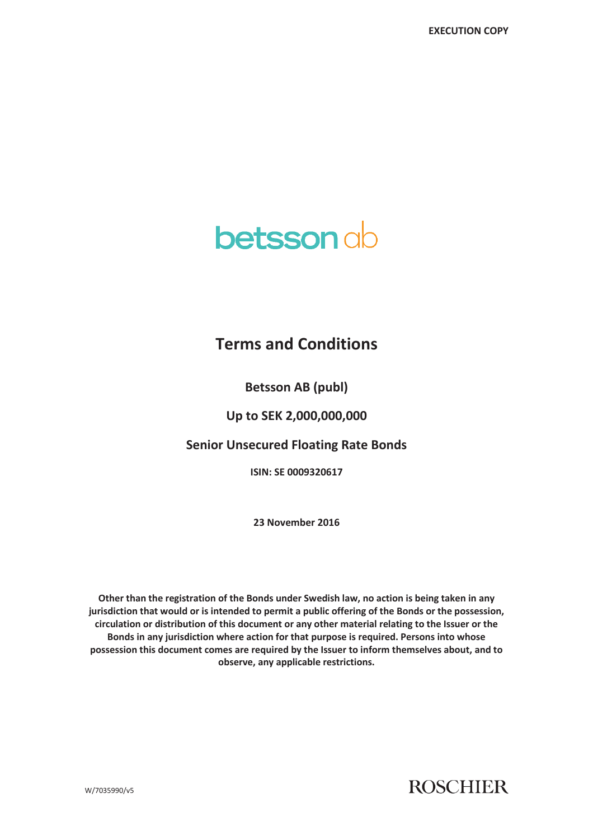# **betsson** ab

# **Terms and Conditions**

**Betsson AB (publ)** 

**Up to SEK 2,000,000,000** 

**Senior Unsecured Floating Rate Bonds** 

**ISIN: SE 0009320617** 

**23 November 2016** 

**Other than the registration of the Bonds under Swedish law, no action is being taken in any jurisdiction that would or is intended to permit a public offering of the Bonds or the possession, circulation or distribution of this document or any other material relating to the Issuer or the Bonds in any jurisdiction where action for that purpose is required. Persons into whose possession this document comes are required by the Issuer to inform themselves about, and to observe, any applicable restrictions.** 

**ROSCHIER**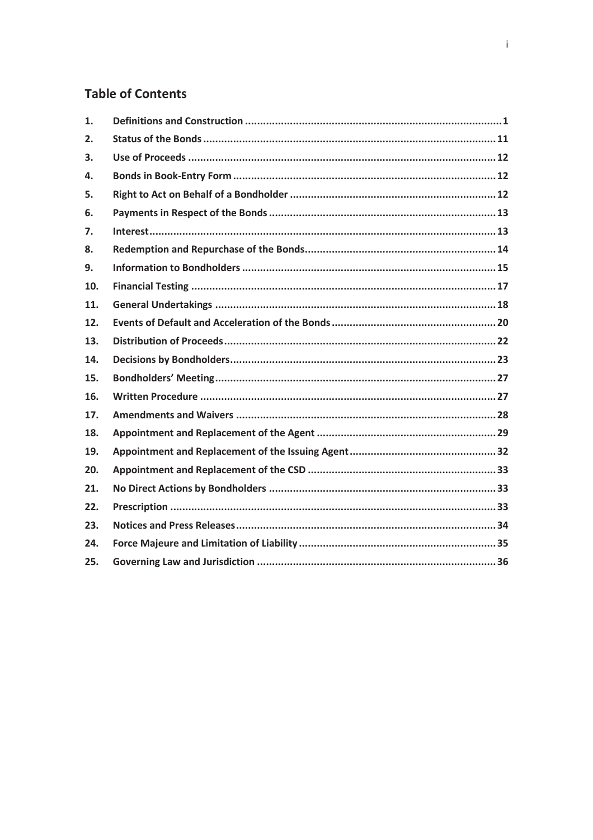# **Table of Contents**

| 1.  |  |
|-----|--|
| 2.  |  |
| 3.  |  |
| 4.  |  |
| 5.  |  |
| 6.  |  |
| 7.  |  |
| 8.  |  |
| 9.  |  |
| 10. |  |
| 11. |  |
| 12. |  |
| 13. |  |
| 14. |  |
| 15. |  |
| 16. |  |
| 17. |  |
| 18. |  |
| 19. |  |
| 20. |  |
| 21. |  |
| 22. |  |
| 23. |  |
| 24. |  |
| 25. |  |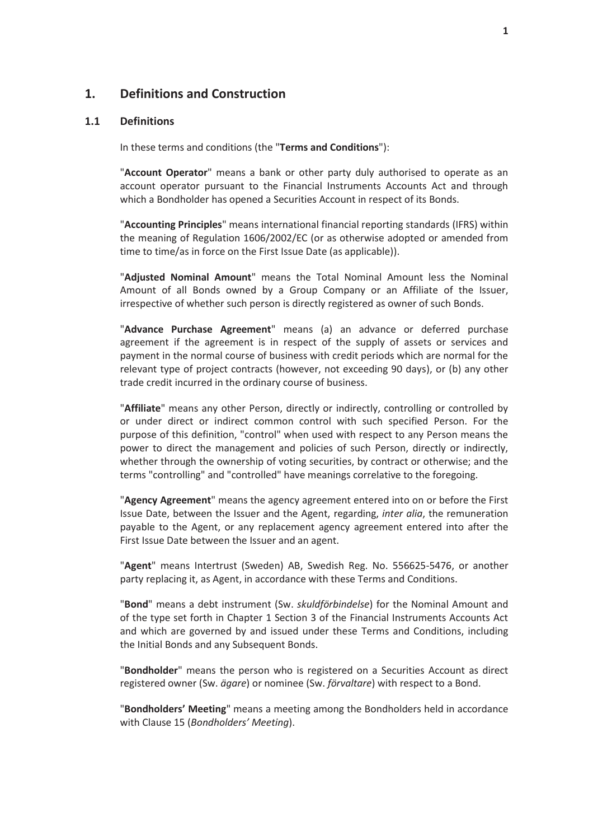# **1. Definitions and Construction**

#### **1.1 Definitions**

In these terms and conditions (the "**Terms and Conditions**"):

"**Account Operator**" means a bank or other party duly authorised to operate as an account operator pursuant to the Financial Instruments Accounts Act and through which a Bondholder has opened a Securities Account in respect of its Bonds.

"**Accounting Principles**" means international financial reporting standards (IFRS) within the meaning of Regulation 1606/2002/EC (or as otherwise adopted or amended from time to time/as in force on the First Issue Date (as applicable)).

"**Adjusted Nominal Amount**" means the Total Nominal Amount less the Nominal Amount of all Bonds owned by a Group Company or an Affiliate of the Issuer, irrespective of whether such person is directly registered as owner of such Bonds.

"**Advance Purchase Agreement**" means (a) an advance or deferred purchase agreement if the agreement is in respect of the supply of assets or services and payment in the normal course of business with credit periods which are normal for the relevant type of project contracts (however, not exceeding 90 days), or (b) any other trade credit incurred in the ordinary course of business.

"**Affiliate**" means any other Person, directly or indirectly, controlling or controlled by or under direct or indirect common control with such specified Person. For the purpose of this definition, "control" when used with respect to any Person means the power to direct the management and policies of such Person, directly or indirectly, whether through the ownership of voting securities, by contract or otherwise; and the terms "controlling" and "controlled" have meanings correlative to the foregoing.

"**Agency Agreement**" means the agency agreement entered into on or before the First Issue Date, between the Issuer and the Agent, regarding, *inter alia*, the remuneration payable to the Agent, or any replacement agency agreement entered into after the First Issue Date between the Issuer and an agent.

"**Agent**" means Intertrust (Sweden) AB, Swedish Reg. No. 556625-5476, or another party replacing it, as Agent, in accordance with these Terms and Conditions.

"**Bond**" means a debt instrument (Sw. *skuldförbindelse*) for the Nominal Amount and of the type set forth in Chapter 1 Section 3 of the Financial Instruments Accounts Act and which are governed by and issued under these Terms and Conditions, including the Initial Bonds and any Subsequent Bonds.

"**Bondholder**" means the person who is registered on a Securities Account as direct registered owner (Sw. *ägare*) or nominee (Sw. *förvaltare*) with respect to a Bond.

"**Bondholders' Meeting**" means a meeting among the Bondholders held in accordance with Clause 15 (*Bondholders' Meeting*).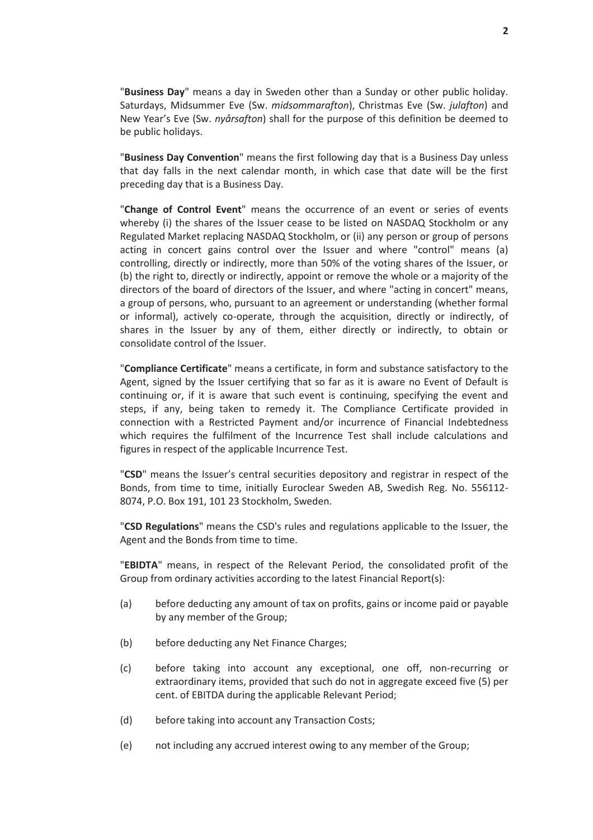"**Business Day**" means a day in Sweden other than a Sunday or other public holiday. Saturdays, Midsummer Eve (Sw. *midsommarafton*), Christmas Eve (Sw. *julafton*) and New Year's Eve (Sw. *nyårsafton*) shall for the purpose of this definition be deemed to be public holidays.

"**Business Day Convention**" means the first following day that is a Business Day unless that day falls in the next calendar month, in which case that date will be the first preceding day that is a Business Day.

"**Change of Control Event**" means the occurrence of an event or series of events whereby (i) the shares of the Issuer cease to be listed on NASDAQ Stockholm or any Regulated Market replacing NASDAQ Stockholm, or (ii) any person or group of persons acting in concert gains control over the Issuer and where "control" means (a) controlling, directly or indirectly, more than 50% of the voting shares of the Issuer, or (b) the right to, directly or indirectly, appoint or remove the whole or a majority of the directors of the board of directors of the Issuer, and where "acting in concert" means, a group of persons, who, pursuant to an agreement or understanding (whether formal or informal), actively co-operate, through the acquisition, directly or indirectly, of shares in the Issuer by any of them, either directly or indirectly, to obtain or consolidate control of the Issuer.

"**Compliance Certificate**" means a certificate, in form and substance satisfactory to the Agent, signed by the Issuer certifying that so far as it is aware no Event of Default is continuing or, if it is aware that such event is continuing, specifying the event and steps, if any, being taken to remedy it. The Compliance Certificate provided in connection with a Restricted Payment and/or incurrence of Financial Indebtedness which requires the fulfilment of the Incurrence Test shall include calculations and figures in respect of the applicable Incurrence Test.

"**CSD**" means the Issuer's central securities depository and registrar in respect of the Bonds, from time to time, initially Euroclear Sweden AB, Swedish Reg. No. 556112- 8074, P.O. Box 191, 101 23 Stockholm, Sweden.

"**CSD Regulations**" means the CSD's rules and regulations applicable to the Issuer, the Agent and the Bonds from time to time.

"**EBIDTA**" means, in respect of the Relevant Period, the consolidated profit of the Group from ordinary activities according to the latest Financial Report(s):

- (a) before deducting any amount of tax on profits, gains or income paid or payable by any member of the Group;
- (b) before deducting any Net Finance Charges;
- (c) before taking into account any exceptional, one off, non-recurring or extraordinary items, provided that such do not in aggregate exceed five (5) per cent. of EBITDA during the applicable Relevant Period;
- (d) before taking into account any Transaction Costs;
- (e) not including any accrued interest owing to any member of the Group;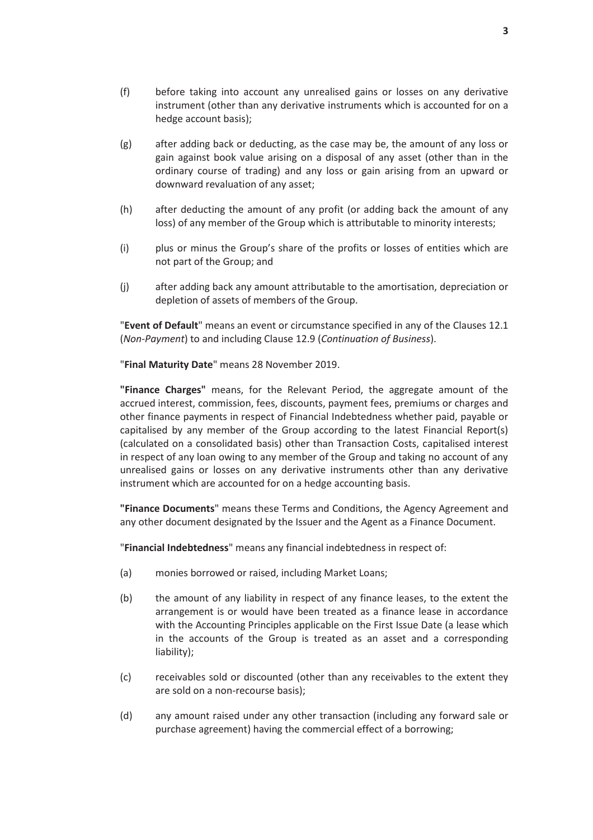- (f) before taking into account any unrealised gains or losses on any derivative instrument (other than any derivative instruments which is accounted for on a hedge account basis);
- (g) after adding back or deducting, as the case may be, the amount of any loss or gain against book value arising on a disposal of any asset (other than in the ordinary course of trading) and any loss or gain arising from an upward or downward revaluation of any asset;
- (h) after deducting the amount of any profit (or adding back the amount of any loss) of any member of the Group which is attributable to minority interests;
- (i) plus or minus the Group's share of the profits or losses of entities which are not part of the Group; and
- (j) after adding back any amount attributable to the amortisation, depreciation or depletion of assets of members of the Group.

"**Event of Default**" means an event or circumstance specified in any of the Clauses 12.1 (*Non-Payment*) to and including Clause 12.9 (*Continuation of Business*).

"**Final Maturity Date**" means 28 November 2019.

**"Finance Charges"** means, for the Relevant Period, the aggregate amount of the accrued interest, commission, fees, discounts, payment fees, premiums or charges and other finance payments in respect of Financial Indebtedness whether paid, payable or capitalised by any member of the Group according to the latest Financial Report(s) (calculated on a consolidated basis) other than Transaction Costs, capitalised interest in respect of any loan owing to any member of the Group and taking no account of any unrealised gains or losses on any derivative instruments other than any derivative instrument which are accounted for on a hedge accounting basis.

**"Finance Documents**" means these Terms and Conditions, the Agency Agreement and any other document designated by the Issuer and the Agent as a Finance Document.

"**Financial Indebtedness**" means any financial indebtedness in respect of:

- (a) monies borrowed or raised, including Market Loans;
- (b) the amount of any liability in respect of any finance leases, to the extent the arrangement is or would have been treated as a finance lease in accordance with the Accounting Principles applicable on the First Issue Date (a lease which in the accounts of the Group is treated as an asset and a corresponding liability);
- (c) receivables sold or discounted (other than any receivables to the extent they are sold on a non-recourse basis);
- (d) any amount raised under any other transaction (including any forward sale or purchase agreement) having the commercial effect of a borrowing;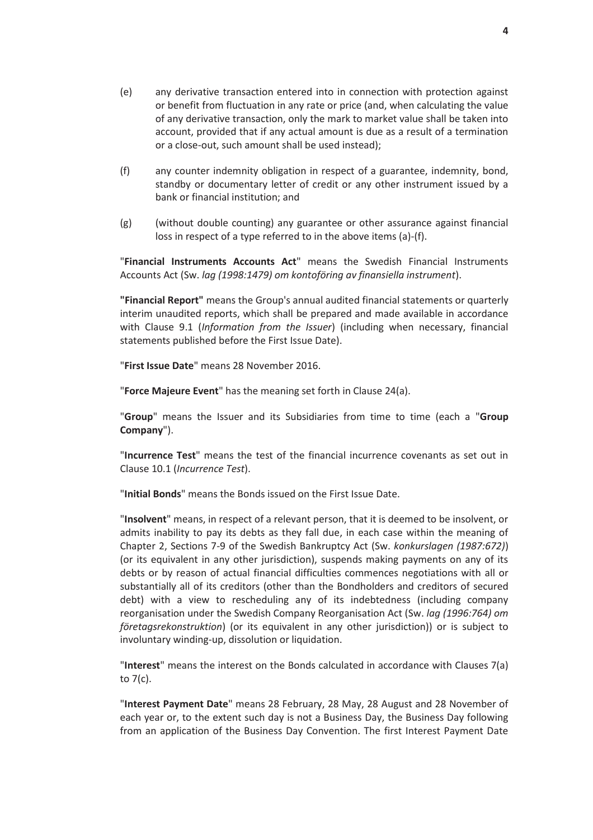- (e) any derivative transaction entered into in connection with protection against or benefit from fluctuation in any rate or price (and, when calculating the value of any derivative transaction, only the mark to market value shall be taken into account, provided that if any actual amount is due as a result of a termination or a close-out, such amount shall be used instead);
- (f) any counter indemnity obligation in respect of a guarantee, indemnity, bond, standby or documentary letter of credit or any other instrument issued by a bank or financial institution; and
- (g) (without double counting) any guarantee or other assurance against financial loss in respect of a type referred to in the above items (a)-(f).

"**Financial Instruments Accounts Act**" means the Swedish Financial Instruments Accounts Act (Sw. *lag (1998:1479) om kontoföring av finansiella instrument*).

**"Financial Report"** means the Group's annual audited financial statements or quarterly interim unaudited reports, which shall be prepared and made available in accordance with Clause 9.1 (*Information from the Issuer*) (including when necessary, financial statements published before the First Issue Date).

"**First Issue Date**" means 28 November 2016.

"**Force Majeure Event**" has the meaning set forth in Clause 24(a).

"**Group**" means the Issuer and its Subsidiaries from time to time (each a "**Group Company**").

"**Incurrence Test**" means the test of the financial incurrence covenants as set out in Clause 10.1 (*Incurrence Test*).

"**Initial Bonds**" means the Bonds issued on the First Issue Date.

"**Insolvent**" means, in respect of a relevant person, that it is deemed to be insolvent, or admits inability to pay its debts as they fall due, in each case within the meaning of Chapter 2, Sections 7-9 of the Swedish Bankruptcy Act (Sw. *konkurslagen (1987:672)*) (or its equivalent in any other jurisdiction), suspends making payments on any of its debts or by reason of actual financial difficulties commences negotiations with all or substantially all of its creditors (other than the Bondholders and creditors of secured debt) with a view to rescheduling any of its indebtedness (including company reorganisation under the Swedish Company Reorganisation Act (Sw. *lag (1996:764) om företagsrekonstruktion*) (or its equivalent in any other jurisdiction)) or is subject to involuntary winding-up, dissolution or liquidation.

"**Interest**" means the interest on the Bonds calculated in accordance with Clauses 7(a) to 7(c).

"**Interest Payment Date**" means 28 February, 28 May, 28 August and 28 November of each year or, to the extent such day is not a Business Day, the Business Day following from an application of the Business Day Convention. The first Interest Payment Date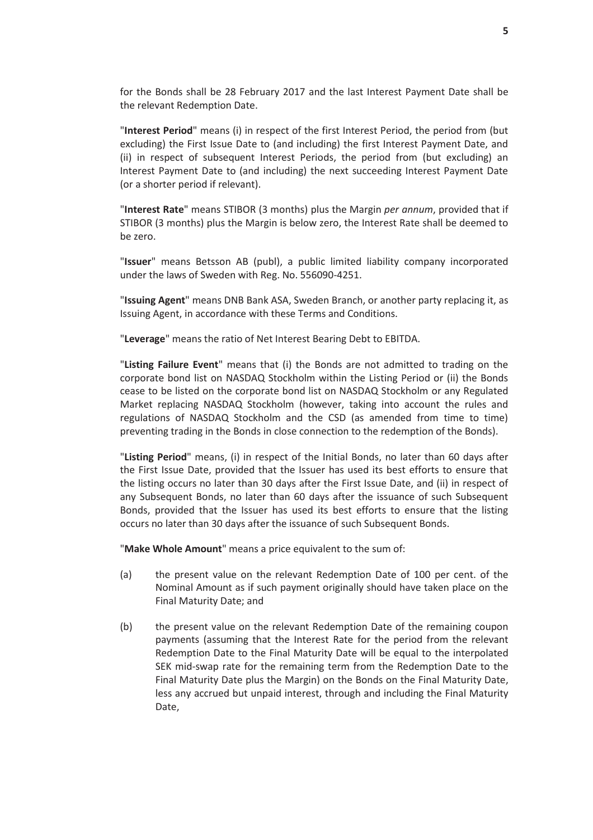for the Bonds shall be 28 February 2017 and the last Interest Payment Date shall be the relevant Redemption Date.

"**Interest Period**" means (i) in respect of the first Interest Period, the period from (but excluding) the First Issue Date to (and including) the first Interest Payment Date, and (ii) in respect of subsequent Interest Periods, the period from (but excluding) an Interest Payment Date to (and including) the next succeeding Interest Payment Date (or a shorter period if relevant).

"**Interest Rate**" means STIBOR (3 months) plus the Margin *per annum*, provided that if STIBOR (3 months) plus the Margin is below zero, the Interest Rate shall be deemed to be zero.

"**Issuer**" means Betsson AB (publ), a public limited liability company incorporated under the laws of Sweden with Reg. No. 556090-4251.

"**Issuing Agent**" means DNB Bank ASA, Sweden Branch, or another party replacing it, as Issuing Agent, in accordance with these Terms and Conditions.

"**Leverage**" means the ratio of Net Interest Bearing Debt to EBITDA.

"**Listing Failure Event**" means that (i) the Bonds are not admitted to trading on the corporate bond list on NASDAQ Stockholm within the Listing Period or (ii) the Bonds cease to be listed on the corporate bond list on NASDAQ Stockholm or any Regulated Market replacing NASDAQ Stockholm (however, taking into account the rules and regulations of NASDAQ Stockholm and the CSD (as amended from time to time) preventing trading in the Bonds in close connection to the redemption of the Bonds).

"**Listing Period**" means, (i) in respect of the Initial Bonds, no later than 60 days after the First Issue Date, provided that the Issuer has used its best efforts to ensure that the listing occurs no later than 30 days after the First Issue Date, and (ii) in respect of any Subsequent Bonds, no later than 60 days after the issuance of such Subsequent Bonds, provided that the Issuer has used its best efforts to ensure that the listing occurs no later than 30 days after the issuance of such Subsequent Bonds.

"**Make Whole Amount**" means a price equivalent to the sum of:

- (a) the present value on the relevant Redemption Date of 100 per cent. of the Nominal Amount as if such payment originally should have taken place on the Final Maturity Date; and
- (b) the present value on the relevant Redemption Date of the remaining coupon payments (assuming that the Interest Rate for the period from the relevant Redemption Date to the Final Maturity Date will be equal to the interpolated SEK mid-swap rate for the remaining term from the Redemption Date to the Final Maturity Date plus the Margin) on the Bonds on the Final Maturity Date, less any accrued but unpaid interest, through and including the Final Maturity Date,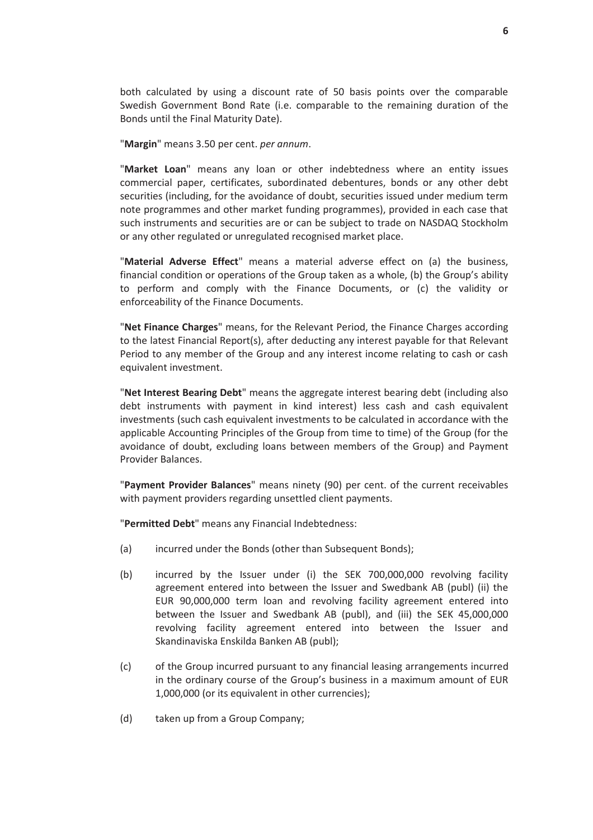both calculated by using a discount rate of 50 basis points over the comparable Swedish Government Bond Rate (i.e. comparable to the remaining duration of the Bonds until the Final Maturity Date).

"**Margin**" means 3.50 per cent. *per annum*.

"**Market Loan**" means any loan or other indebtedness where an entity issues commercial paper, certificates, subordinated debentures, bonds or any other debt securities (including, for the avoidance of doubt, securities issued under medium term note programmes and other market funding programmes), provided in each case that such instruments and securities are or can be subject to trade on NASDAQ Stockholm or any other regulated or unregulated recognised market place.

"**Material Adverse Effect**" means a material adverse effect on (a) the business, financial condition or operations of the Group taken as a whole, (b) the Group's ability to perform and comply with the Finance Documents, or (c) the validity or enforceability of the Finance Documents.

"**Net Finance Charges**" means, for the Relevant Period, the Finance Charges according to the latest Financial Report(s), after deducting any interest payable for that Relevant Period to any member of the Group and any interest income relating to cash or cash equivalent investment.

"**Net Interest Bearing Debt**" means the aggregate interest bearing debt (including also debt instruments with payment in kind interest) less cash and cash equivalent investments (such cash equivalent investments to be calculated in accordance with the applicable Accounting Principles of the Group from time to time) of the Group (for the avoidance of doubt, excluding loans between members of the Group) and Payment Provider Balances.

"**Payment Provider Balances**" means ninety (90) per cent. of the current receivables with payment providers regarding unsettled client payments.

"**Permitted Debt**" means any Financial Indebtedness:

- (a) incurred under the Bonds (other than Subsequent Bonds);
- (b) incurred by the Issuer under (i) the SEK 700,000,000 revolving facility agreement entered into between the Issuer and Swedbank AB (publ) (ii) the EUR 90,000,000 term loan and revolving facility agreement entered into between the Issuer and Swedbank AB (publ), and (iii) the SEK 45,000,000 revolving facility agreement entered into between the Issuer and Skandinaviska Enskilda Banken AB (publ);
- (c) of the Group incurred pursuant to any financial leasing arrangements incurred in the ordinary course of the Group's business in a maximum amount of EUR 1,000,000 (or its equivalent in other currencies);
- (d) taken up from a Group Company;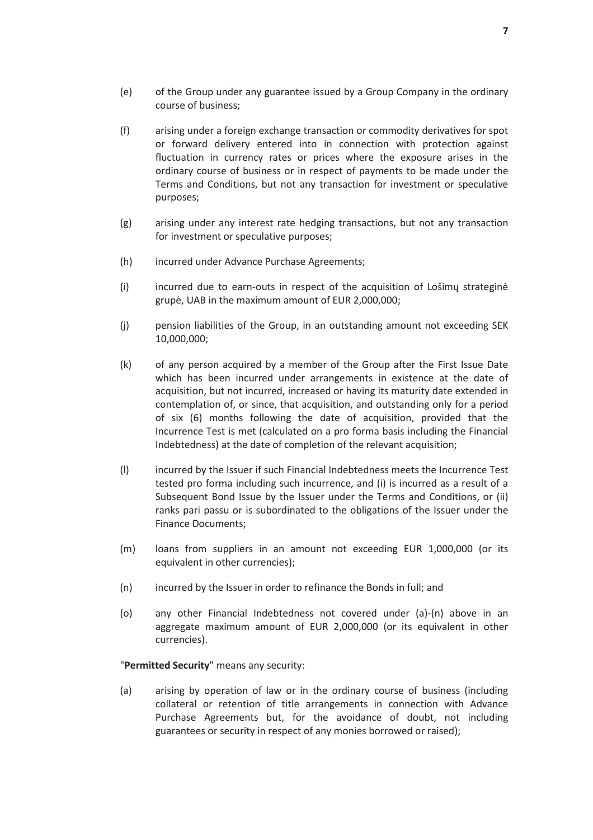- (e) of the Group under any guarantee issued by a Group Company in the ordinary course of business;
- (f) arising under a foreign exchange transaction or commodity derivatives for spot or forward delivery entered into in connection with protection against fluctuation in currency rates or prices where the exposure arises in the ordinary course of business or in respect of payments to be made under the Terms and Conditions, but not any transaction for investment or speculative purposes;
- (g) arising under any interest rate hedging transactions, but not any transaction for investment or speculative purposes;
- (h) incurred under Advance Purchase Agreements;
- (i) incurred due to earn-outs in respect of the acquisition of Lošimų strateginė grupė, UAB in the maximum amount of EUR 2,000,000;
- (j) pension liabilities of the Group, in an outstanding amount not exceeding SEK 10,000,000;
- (k) of any person acquired by a member of the Group after the First Issue Date which has been incurred under arrangements in existence at the date of acquisition, but not incurred, increased or having its maturity date extended in contemplation of, or since, that acquisition, and outstanding only for a period of six (6) months following the date of acquisition, provided that the Incurrence Test is met (calculated on a pro forma basis including the Financial Indebtedness) at the date of completion of the relevant acquisition;
- (l) incurred by the Issuer if such Financial Indebtedness meets the Incurrence Test tested pro forma including such incurrence, and (i) is incurred as a result of a Subsequent Bond Issue by the Issuer under the Terms and Conditions, or (ii) ranks pari passu or is subordinated to the obligations of the Issuer under the Finance Documents;
- (m) loans from suppliers in an amount not exceeding EUR 1,000,000 (or its equivalent in other currencies);
- (n) incurred by the Issuer in order to refinance the Bonds in full; and
- (o) any other Financial Indebtedness not covered under (a)-(n) above in an aggregate maximum amount of EUR 2,000,000 (or its equivalent in other currencies).

"**Permitted Security**" means any security:

(a) arising by operation of law or in the ordinary course of business (including collateral or retention of title arrangements in connection with Advance Purchase Agreements but, for the avoidance of doubt, not including guarantees or security in respect of any monies borrowed or raised);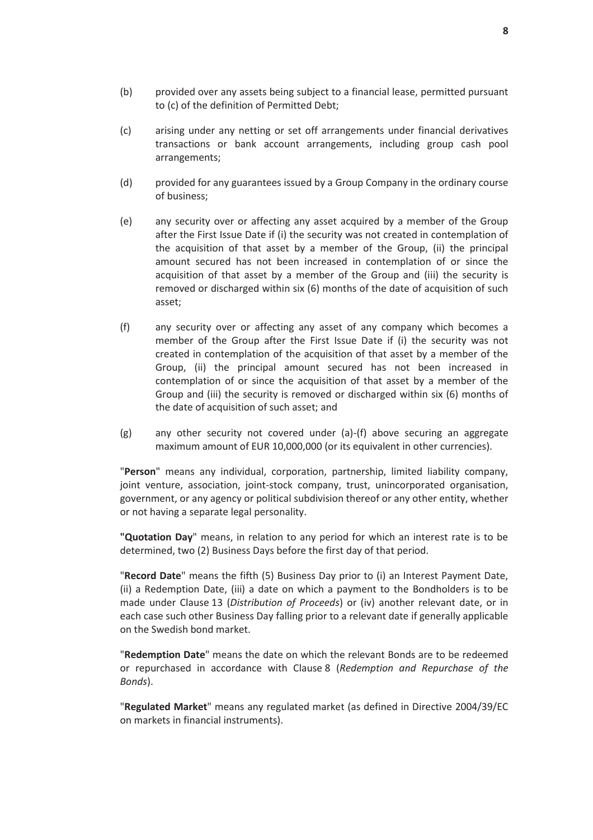- (c) arising under any netting or set off arrangements under financial derivatives transactions or bank account arrangements, including group cash pool arrangements;
- (d) provided for any guarantees issued by a Group Company in the ordinary course of business;
- (e) any security over or affecting any asset acquired by a member of the Group after the First Issue Date if (i) the security was not created in contemplation of the acquisition of that asset by a member of the Group, (ii) the principal amount secured has not been increased in contemplation of or since the acquisition of that asset by a member of the Group and (iii) the security is removed or discharged within six (6) months of the date of acquisition of such asset;
- (f) any security over or affecting any asset of any company which becomes a member of the Group after the First Issue Date if (i) the security was not created in contemplation of the acquisition of that asset by a member of the Group, (ii) the principal amount secured has not been increased in contemplation of or since the acquisition of that asset by a member of the Group and (iii) the security is removed or discharged within six (6) months of the date of acquisition of such asset; and
- (g) any other security not covered under (a)-(f) above securing an aggregate maximum amount of EUR 10,000,000 (or its equivalent in other currencies).

"**Person**" means any individual, corporation, partnership, limited liability company, joint venture, association, joint-stock company, trust, unincorporated organisation, government, or any agency or political subdivision thereof or any other entity, whether or not having a separate legal personality.

**"Quotation Day**" means, in relation to any period for which an interest rate is to be determined, two (2) Business Days before the first day of that period.

"**Record Date**" means the fifth (5) Business Day prior to (i) an Interest Payment Date, (ii) a Redemption Date, (iii) a date on which a payment to the Bondholders is to be made under Clause 13 (*Distribution of Proceeds*) or (iv) another relevant date, or in each case such other Business Day falling prior to a relevant date if generally applicable on the Swedish bond market.

"**Redemption Date**" means the date on which the relevant Bonds are to be redeemed or repurchased in accordance with Clause 8 (*Redemption and Repurchase of the Bonds*).

"**Regulated Market**" means any regulated market (as defined in Directive 2004/39/EC on markets in financial instruments).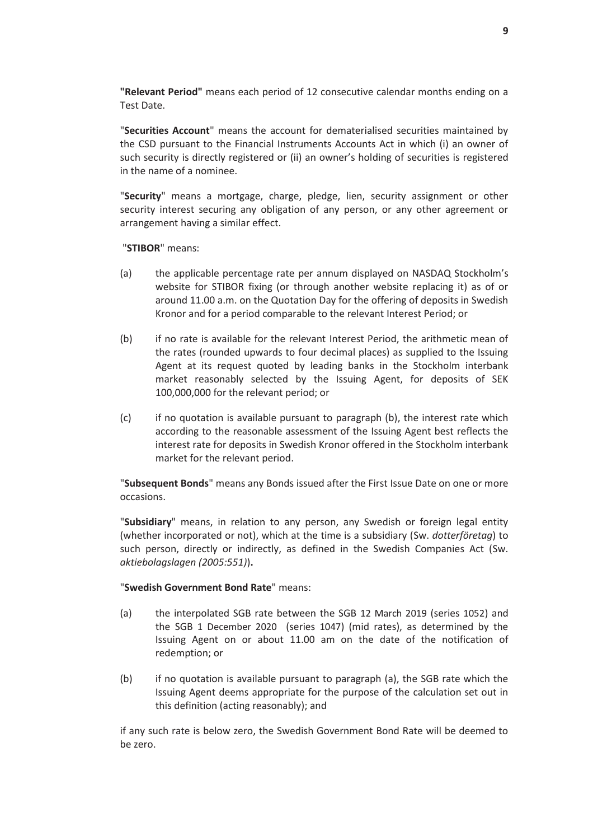**"Relevant Period"** means each period of 12 consecutive calendar months ending on a Test Date.

"**Securities Account**" means the account for dematerialised securities maintained by the CSD pursuant to the Financial Instruments Accounts Act in which (i) an owner of such security is directly registered or (ii) an owner's holding of securities is registered in the name of a nominee.

"**Security**" means a mortgage, charge, pledge, lien, security assignment or other security interest securing any obligation of any person, or any other agreement or arrangement having a similar effect.

"**STIBOR**" means:

- (a) the applicable percentage rate per annum displayed on NASDAQ Stockholm's website for STIBOR fixing (or through another website replacing it) as of or around 11.00 a.m. on the Quotation Day for the offering of deposits in Swedish Kronor and for a period comparable to the relevant Interest Period; or
- (b) if no rate is available for the relevant Interest Period, the arithmetic mean of the rates (rounded upwards to four decimal places) as supplied to the Issuing Agent at its request quoted by leading banks in the Stockholm interbank market reasonably selected by the Issuing Agent, for deposits of SEK 100,000,000 for the relevant period; or
- (c) if no quotation is available pursuant to paragraph (b), the interest rate which according to the reasonable assessment of the Issuing Agent best reflects the interest rate for deposits in Swedish Kronor offered in the Stockholm interbank market for the relevant period.

"**Subsequent Bonds**" means any Bonds issued after the First Issue Date on one or more occasions.

"**Subsidiary**" means, in relation to any person, any Swedish or foreign legal entity (whether incorporated or not), which at the time is a subsidiary (Sw. *dotterföretag*) to such person, directly or indirectly, as defined in the Swedish Companies Act (Sw. *aktiebolagslagen (2005:551)*)**.**

## "**Swedish Government Bond Rate**" means:

- (a) the interpolated SGB rate between the SGB 12 March 2019 (series 1052) and the SGB 1 December 2020 (series 1047) (mid rates), as determined by the Issuing Agent on or about 11.00 am on the date of the notification of redemption; or
- (b) if no quotation is available pursuant to paragraph (a), the SGB rate which the Issuing Agent deems appropriate for the purpose of the calculation set out in this definition (acting reasonably); and

if any such rate is below zero, the Swedish Government Bond Rate will be deemed to be zero.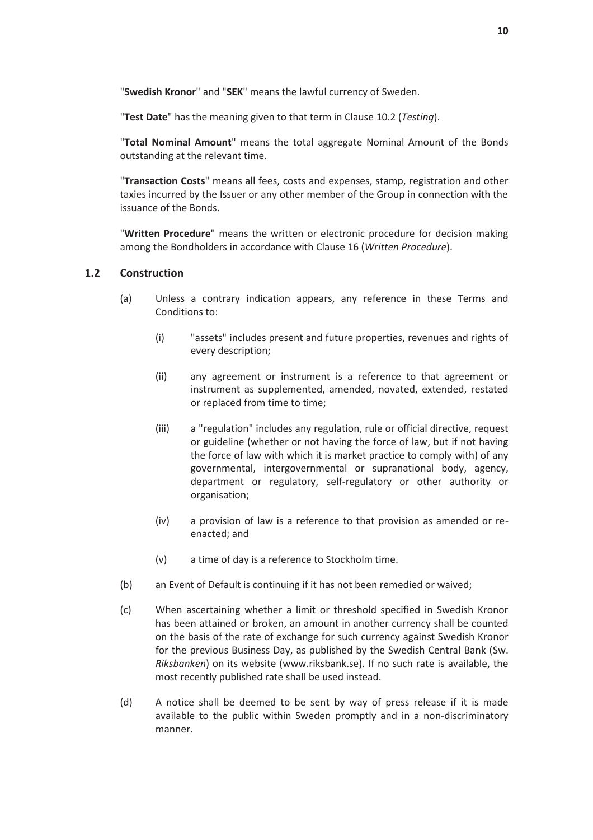"**Swedish Kronor**" and "**SEK**" means the lawful currency of Sweden.

"**Test Date**" has the meaning given to that term in Clause 10.2 (*Testing*).

"**Total Nominal Amount**" means the total aggregate Nominal Amount of the Bonds outstanding at the relevant time.

"**Transaction Costs**" means all fees, costs and expenses, stamp, registration and other taxies incurred by the Issuer or any other member of the Group in connection with the issuance of the Bonds.

"**Written Procedure**" means the written or electronic procedure for decision making among the Bondholders in accordance with Clause 16 (*Written Procedure*).

## **1.2 Construction**

- (a) Unless a contrary indication appears, any reference in these Terms and Conditions to:
	- (i) "assets" includes present and future properties, revenues and rights of every description;
	- (ii) any agreement or instrument is a reference to that agreement or instrument as supplemented, amended, novated, extended, restated or replaced from time to time;
	- (iii) a "regulation" includes any regulation, rule or official directive, request or guideline (whether or not having the force of law, but if not having the force of law with which it is market practice to comply with) of any governmental, intergovernmental or supranational body, agency, department or regulatory, self-regulatory or other authority or organisation;
	- (iv) a provision of law is a reference to that provision as amended or reenacted; and
	- (v) a time of day is a reference to Stockholm time.
- (b) an Event of Default is continuing if it has not been remedied or waived;
- (c) When ascertaining whether a limit or threshold specified in Swedish Kronor has been attained or broken, an amount in another currency shall be counted on the basis of the rate of exchange for such currency against Swedish Kronor for the previous Business Day, as published by the Swedish Central Bank (Sw. *Riksbanken*) on its website (www.riksbank.se). If no such rate is available, the most recently published rate shall be used instead.
- (d) A notice shall be deemed to be sent by way of press release if it is made available to the public within Sweden promptly and in a non-discriminatory manner.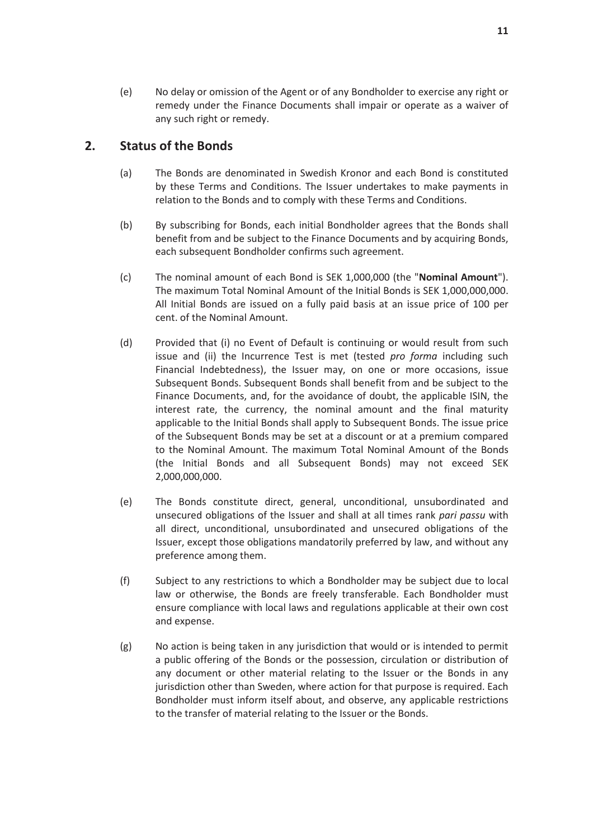(e) No delay or omission of the Agent or of any Bondholder to exercise any right or remedy under the Finance Documents shall impair or operate as a waiver of any such right or remedy.

# **2. Status of the Bonds**

- (a) The Bonds are denominated in Swedish Kronor and each Bond is constituted by these Terms and Conditions. The Issuer undertakes to make payments in relation to the Bonds and to comply with these Terms and Conditions.
- (b) By subscribing for Bonds, each initial Bondholder agrees that the Bonds shall benefit from and be subject to the Finance Documents and by acquiring Bonds, each subsequent Bondholder confirms such agreement.
- (c) The nominal amount of each Bond is SEK 1,000,000 (the "**Nominal Amount**"). The maximum Total Nominal Amount of the Initial Bonds is SEK 1,000,000,000. All Initial Bonds are issued on a fully paid basis at an issue price of 100 per cent. of the Nominal Amount.
- (d) Provided that (i) no Event of Default is continuing or would result from such issue and (ii) the Incurrence Test is met (tested *pro forma* including such Financial Indebtedness), the Issuer may, on one or more occasions, issue Subsequent Bonds. Subsequent Bonds shall benefit from and be subject to the Finance Documents, and, for the avoidance of doubt, the applicable ISIN, the interest rate, the currency, the nominal amount and the final maturity applicable to the Initial Bonds shall apply to Subsequent Bonds. The issue price of the Subsequent Bonds may be set at a discount or at a premium compared to the Nominal Amount. The maximum Total Nominal Amount of the Bonds (the Initial Bonds and all Subsequent Bonds) may not exceed SEK 2,000,000,000.
- (e) The Bonds constitute direct, general, unconditional, unsubordinated and unsecured obligations of the Issuer and shall at all times rank *pari passu* with all direct, unconditional, unsubordinated and unsecured obligations of the Issuer, except those obligations mandatorily preferred by law, and without any preference among them.
- (f) Subject to any restrictions to which a Bondholder may be subject due to local law or otherwise, the Bonds are freely transferable. Each Bondholder must ensure compliance with local laws and regulations applicable at their own cost and expense.
- (g) No action is being taken in any jurisdiction that would or is intended to permit a public offering of the Bonds or the possession, circulation or distribution of any document or other material relating to the Issuer or the Bonds in any jurisdiction other than Sweden, where action for that purpose is required. Each Bondholder must inform itself about, and observe, any applicable restrictions to the transfer of material relating to the Issuer or the Bonds.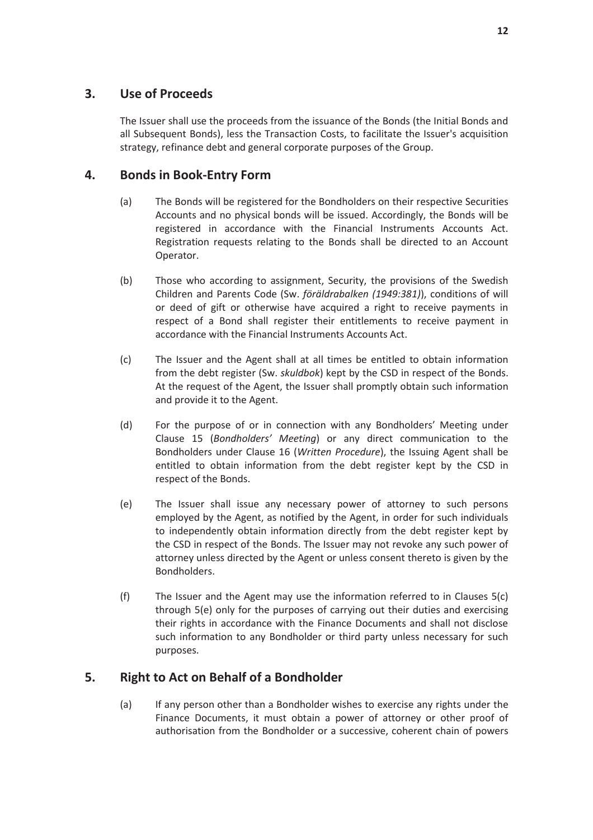# **3. Use of Proceeds**

The Issuer shall use the proceeds from the issuance of the Bonds (the Initial Bonds and all Subsequent Bonds), less the Transaction Costs, to facilitate the Issuer's acquisition strategy, refinance debt and general corporate purposes of the Group.

# **4. Bonds in Book-Entry Form**

- (a) The Bonds will be registered for the Bondholders on their respective Securities Accounts and no physical bonds will be issued. Accordingly, the Bonds will be registered in accordance with the Financial Instruments Accounts Act. Registration requests relating to the Bonds shall be directed to an Account Operator.
- (b) Those who according to assignment, Security, the provisions of the Swedish Children and Parents Code (Sw. *föräldrabalken (1949:381)*), conditions of will or deed of gift or otherwise have acquired a right to receive payments in respect of a Bond shall register their entitlements to receive payment in accordance with the Financial Instruments Accounts Act.
- (c) The Issuer and the Agent shall at all times be entitled to obtain information from the debt register (Sw. *skuldbok*) kept by the CSD in respect of the Bonds. At the request of the Agent, the Issuer shall promptly obtain such information and provide it to the Agent.
- (d) For the purpose of or in connection with any Bondholders' Meeting under Clause 15 (*Bondholders' Meeting*) or any direct communication to the Bondholders under Clause 16 (*Written Procedure*), the Issuing Agent shall be entitled to obtain information from the debt register kept by the CSD in respect of the Bonds.
- (e) The Issuer shall issue any necessary power of attorney to such persons employed by the Agent, as notified by the Agent, in order for such individuals to independently obtain information directly from the debt register kept by the CSD in respect of the Bonds. The Issuer may not revoke any such power of attorney unless directed by the Agent or unless consent thereto is given by the Bondholders.
- (f) The Issuer and the Agent may use the information referred to in Clauses 5(c) through 5(e) only for the purposes of carrying out their duties and exercising their rights in accordance with the Finance Documents and shall not disclose such information to any Bondholder or third party unless necessary for such purposes.

# **5. Right to Act on Behalf of a Bondholder**

(a) If any person other than a Bondholder wishes to exercise any rights under the Finance Documents, it must obtain a power of attorney or other proof of authorisation from the Bondholder or a successive, coherent chain of powers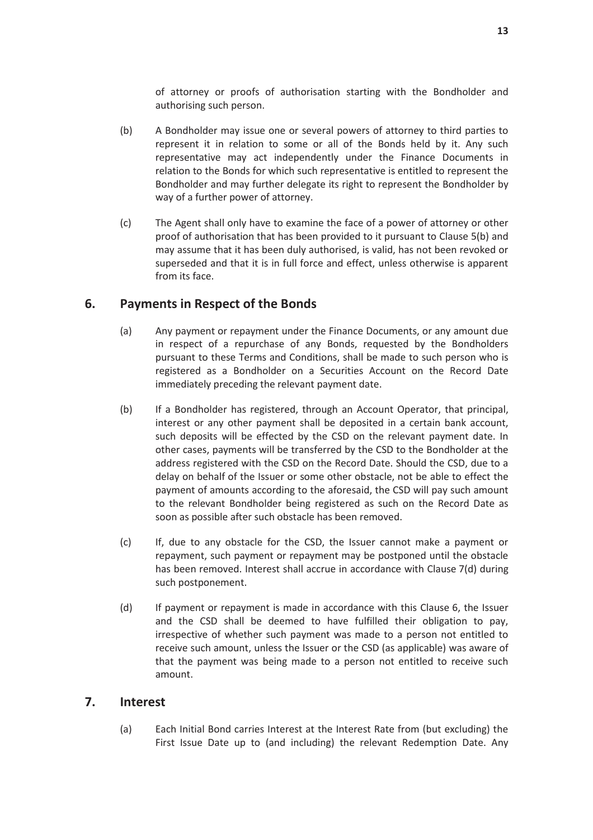of attorney or proofs of authorisation starting with the Bondholder and authorising such person.

- (b) A Bondholder may issue one or several powers of attorney to third parties to represent it in relation to some or all of the Bonds held by it. Any such representative may act independently under the Finance Documents in relation to the Bonds for which such representative is entitled to represent the Bondholder and may further delegate its right to represent the Bondholder by way of a further power of attorney.
- (c) The Agent shall only have to examine the face of a power of attorney or other proof of authorisation that has been provided to it pursuant to Clause 5(b) and may assume that it has been duly authorised, is valid, has not been revoked or superseded and that it is in full force and effect, unless otherwise is apparent from its face.

# **6. Payments in Respect of the Bonds**

- (a) Any payment or repayment under the Finance Documents, or any amount due in respect of a repurchase of any Bonds, requested by the Bondholders pursuant to these Terms and Conditions, shall be made to such person who is registered as a Bondholder on a Securities Account on the Record Date immediately preceding the relevant payment date.
- (b) If a Bondholder has registered, through an Account Operator, that principal, interest or any other payment shall be deposited in a certain bank account, such deposits will be effected by the CSD on the relevant payment date. In other cases, payments will be transferred by the CSD to the Bondholder at the address registered with the CSD on the Record Date. Should the CSD, due to a delay on behalf of the Issuer or some other obstacle, not be able to effect the payment of amounts according to the aforesaid, the CSD will pay such amount to the relevant Bondholder being registered as such on the Record Date as soon as possible after such obstacle has been removed.
- (c) If, due to any obstacle for the CSD, the Issuer cannot make a payment or repayment, such payment or repayment may be postponed until the obstacle has been removed. Interest shall accrue in accordance with Clause 7(d) during such postponement.
- (d) If payment or repayment is made in accordance with this Clause 6, the Issuer and the CSD shall be deemed to have fulfilled their obligation to pay, irrespective of whether such payment was made to a person not entitled to receive such amount, unless the Issuer or the CSD (as applicable) was aware of that the payment was being made to a person not entitled to receive such amount.

# **7. Interest**

(a) Each Initial Bond carries Interest at the Interest Rate from (but excluding) the First Issue Date up to (and including) the relevant Redemption Date. Any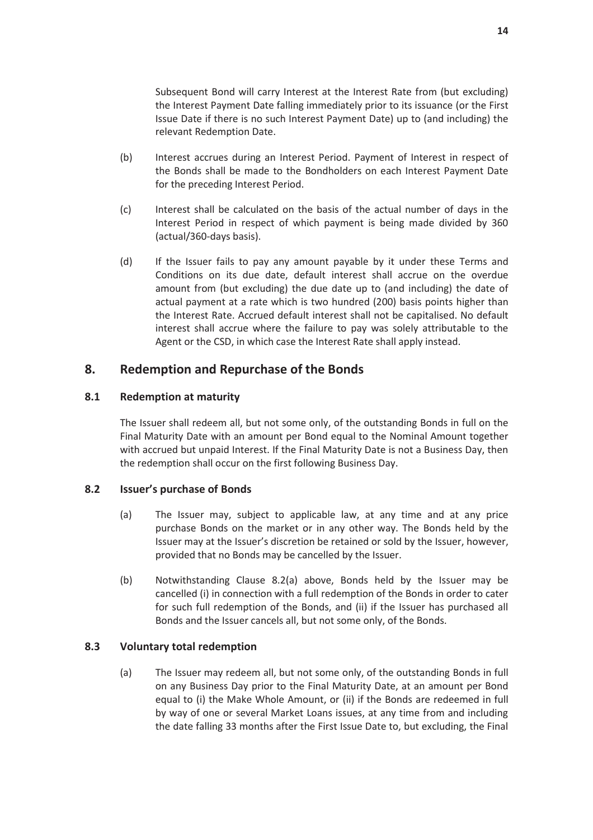Subsequent Bond will carry Interest at the Interest Rate from (but excluding) the Interest Payment Date falling immediately prior to its issuance (or the First Issue Date if there is no such Interest Payment Date) up to (and including) the relevant Redemption Date.

- (b) Interest accrues during an Interest Period. Payment of Interest in respect of the Bonds shall be made to the Bondholders on each Interest Payment Date for the preceding Interest Period.
- (c) Interest shall be calculated on the basis of the actual number of days in the Interest Period in respect of which payment is being made divided by 360 (actual/360-days basis).
- (d) If the Issuer fails to pay any amount payable by it under these Terms and Conditions on its due date, default interest shall accrue on the overdue amount from (but excluding) the due date up to (and including) the date of actual payment at a rate which is two hundred (200) basis points higher than the Interest Rate. Accrued default interest shall not be capitalised. No default interest shall accrue where the failure to pay was solely attributable to the Agent or the CSD, in which case the Interest Rate shall apply instead.

# **8. Redemption and Repurchase of the Bonds**

# **8.1 Redemption at maturity**

The Issuer shall redeem all, but not some only, of the outstanding Bonds in full on the Final Maturity Date with an amount per Bond equal to the Nominal Amount together with accrued but unpaid Interest. If the Final Maturity Date is not a Business Day, then the redemption shall occur on the first following Business Day.

# **8.2 Issuer's purchase of Bonds**

- (a) The Issuer may, subject to applicable law, at any time and at any price purchase Bonds on the market or in any other way. The Bonds held by the Issuer may at the Issuer's discretion be retained or sold by the Issuer, however, provided that no Bonds may be cancelled by the Issuer.
- (b) Notwithstanding Clause 8.2(a) above, Bonds held by the Issuer may be cancelled (i) in connection with a full redemption of the Bonds in order to cater for such full redemption of the Bonds, and (ii) if the Issuer has purchased all Bonds and the Issuer cancels all, but not some only, of the Bonds.

## **8.3 Voluntary total redemption**

(a) The Issuer may redeem all, but not some only, of the outstanding Bonds in full on any Business Day prior to the Final Maturity Date, at an amount per Bond equal to (i) the Make Whole Amount, or (ii) if the Bonds are redeemed in full by way of one or several Market Loans issues, at any time from and including the date falling 33 months after the First Issue Date to, but excluding, the Final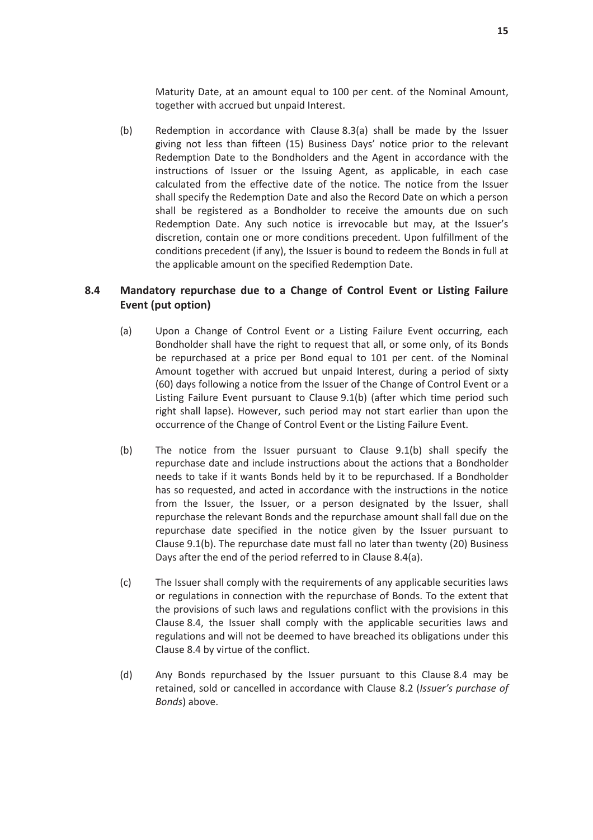Maturity Date, at an amount equal to 100 per cent. of the Nominal Amount, together with accrued but unpaid Interest.

(b) Redemption in accordance with Clause 8.3(a) shall be made by the Issuer giving not less than fifteen (15) Business Days' notice prior to the relevant Redemption Date to the Bondholders and the Agent in accordance with the instructions of Issuer or the Issuing Agent, as applicable, in each case calculated from the effective date of the notice. The notice from the Issuer shall specify the Redemption Date and also the Record Date on which a person shall be registered as a Bondholder to receive the amounts due on such Redemption Date. Any such notice is irrevocable but may, at the Issuer's discretion, contain one or more conditions precedent. Upon fulfillment of the conditions precedent (if any), the Issuer is bound to redeem the Bonds in full at the applicable amount on the specified Redemption Date.

# **8.4 Mandatory repurchase due to a Change of Control Event or Listing Failure Event (put option)**

- (a) Upon a Change of Control Event or a Listing Failure Event occurring, each Bondholder shall have the right to request that all, or some only, of its Bonds be repurchased at a price per Bond equal to 101 per cent. of the Nominal Amount together with accrued but unpaid Interest, during a period of sixty (60) days following a notice from the Issuer of the Change of Control Event or a Listing Failure Event pursuant to Clause 9.1(b) (after which time period such right shall lapse). However, such period may not start earlier than upon the occurrence of the Change of Control Event or the Listing Failure Event.
- (b) The notice from the Issuer pursuant to Clause 9.1(b) shall specify the repurchase date and include instructions about the actions that a Bondholder needs to take if it wants Bonds held by it to be repurchased. If a Bondholder has so requested, and acted in accordance with the instructions in the notice from the Issuer, the Issuer, or a person designated by the Issuer, shall repurchase the relevant Bonds and the repurchase amount shall fall due on the repurchase date specified in the notice given by the Issuer pursuant to Clause 9.1(b). The repurchase date must fall no later than twenty (20) Business Days after the end of the period referred to in Clause 8.4(a).
- (c) The Issuer shall comply with the requirements of any applicable securities laws or regulations in connection with the repurchase of Bonds. To the extent that the provisions of such laws and regulations conflict with the provisions in this Clause 8.4, the Issuer shall comply with the applicable securities laws and regulations and will not be deemed to have breached its obligations under this Clause 8.4 by virtue of the conflict.
- (d) Any Bonds repurchased by the Issuer pursuant to this Clause 8.4 may be retained, sold or cancelled in accordance with Clause 8.2 (*Issuer's purchase of Bonds*) above.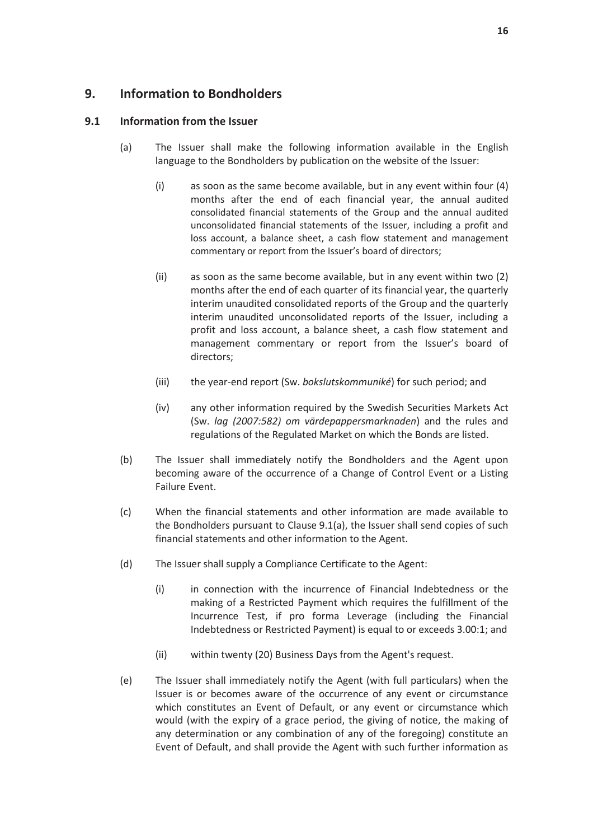# **9. Information to Bondholders**

# **9.1 Information from the Issuer**

- (a) The Issuer shall make the following information available in the English language to the Bondholders by publication on the website of the Issuer:
	- (i) as soon as the same become available, but in any event within four (4) months after the end of each financial year, the annual audited consolidated financial statements of the Group and the annual audited unconsolidated financial statements of the Issuer, including a profit and loss account, a balance sheet, a cash flow statement and management commentary or report from the Issuer's board of directors;
	- (ii) as soon as the same become available, but in any event within two (2) months after the end of each quarter of its financial year, the quarterly interim unaudited consolidated reports of the Group and the quarterly interim unaudited unconsolidated reports of the Issuer, including a profit and loss account, a balance sheet, a cash flow statement and management commentary or report from the Issuer's board of directors;
	- (iii) the year-end report (Sw. *bokslutskommuniké*) for such period; and
	- (iv) any other information required by the Swedish Securities Markets Act (Sw. *lag (2007:582) om värdepappersmarknaden*) and the rules and regulations of the Regulated Market on which the Bonds are listed.
- (b) The Issuer shall immediately notify the Bondholders and the Agent upon becoming aware of the occurrence of a Change of Control Event or a Listing Failure Event.
- (c) When the financial statements and other information are made available to the Bondholders pursuant to Clause 9.1(a), the Issuer shall send copies of such financial statements and other information to the Agent.
- (d) The Issuer shall supply a Compliance Certificate to the Agent:
	- (i) in connection with the incurrence of Financial Indebtedness or the making of a Restricted Payment which requires the fulfillment of the Incurrence Test, if pro forma Leverage (including the Financial Indebtedness or Restricted Payment) is equal to or exceeds 3.00:1; and
	- (ii) within twenty (20) Business Days from the Agent's request.
- (e) The Issuer shall immediately notify the Agent (with full particulars) when the Issuer is or becomes aware of the occurrence of any event or circumstance which constitutes an Event of Default, or any event or circumstance which would (with the expiry of a grace period, the giving of notice, the making of any determination or any combination of any of the foregoing) constitute an Event of Default, and shall provide the Agent with such further information as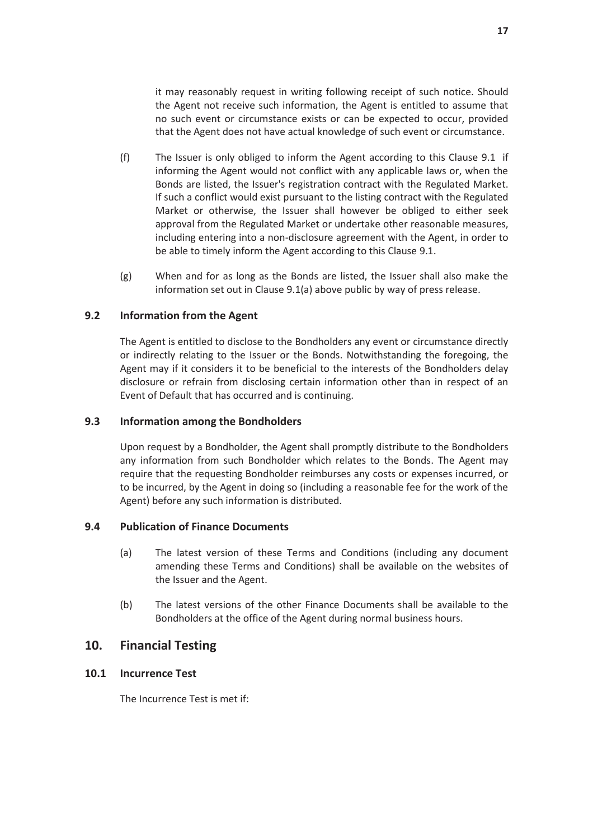it may reasonably request in writing following receipt of such notice. Should the Agent not receive such information, the Agent is entitled to assume that no such event or circumstance exists or can be expected to occur, provided that the Agent does not have actual knowledge of such event or circumstance.

- (f) The Issuer is only obliged to inform the Agent according to this Clause 9.1 if informing the Agent would not conflict with any applicable laws or, when the Bonds are listed, the Issuer's registration contract with the Regulated Market. If such a conflict would exist pursuant to the listing contract with the Regulated Market or otherwise, the Issuer shall however be obliged to either seek approval from the Regulated Market or undertake other reasonable measures, including entering into a non-disclosure agreement with the Agent, in order to be able to timely inform the Agent according to this Clause 9.1.
- (g) When and for as long as the Bonds are listed, the Issuer shall also make the information set out in Clause 9.1(a) above public by way of press release.

# **9.2 Information from the Agent**

The Agent is entitled to disclose to the Bondholders any event or circumstance directly or indirectly relating to the Issuer or the Bonds. Notwithstanding the foregoing, the Agent may if it considers it to be beneficial to the interests of the Bondholders delay disclosure or refrain from disclosing certain information other than in respect of an Event of Default that has occurred and is continuing.

## **9.3 Information among the Bondholders**

Upon request by a Bondholder, the Agent shall promptly distribute to the Bondholders any information from such Bondholder which relates to the Bonds. The Agent may require that the requesting Bondholder reimburses any costs or expenses incurred, or to be incurred, by the Agent in doing so (including a reasonable fee for the work of the Agent) before any such information is distributed.

## **9.4 Publication of Finance Documents**

- (a) The latest version of these Terms and Conditions (including any document amending these Terms and Conditions) shall be available on the websites of the Issuer and the Agent.
- (b) The latest versions of the other Finance Documents shall be available to the Bondholders at the office of the Agent during normal business hours.

# **10. Financial Testing**

## **10.1 Incurrence Test**

The Incurrence Test is met if: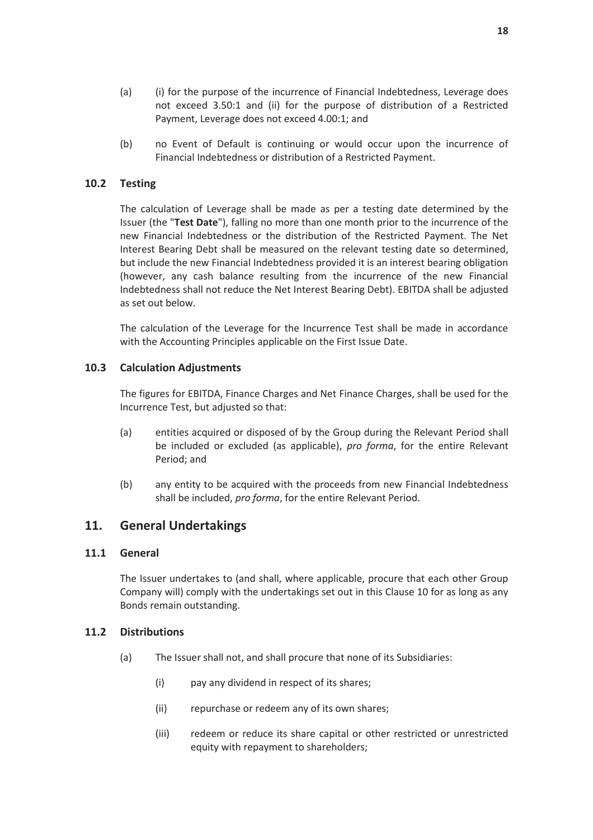- (a) (i) for the purpose of the incurrence of Financial Indebtedness, Leverage does not exceed 3.50:1 and (ii) for the purpose of distribution of a Restricted Payment, Leverage does not exceed 4.00:1; and
- (b) no Event of Default is continuing or would occur upon the incurrence of Financial Indebtedness or distribution of a Restricted Payment.

# **10.2 Testing**

The calculation of Leverage shall be made as per a testing date determined by the Issuer (the "**Test Date**"), falling no more than one month prior to the incurrence of the new Financial Indebtedness or the distribution of the Restricted Payment. The Net Interest Bearing Debt shall be measured on the relevant testing date so determined, but include the new Financial Indebtedness provided it is an interest bearing obligation (however, any cash balance resulting from the incurrence of the new Financial Indebtedness shall not reduce the Net Interest Bearing Debt). EBITDA shall be adjusted as set out below.

The calculation of the Leverage for the Incurrence Test shall be made in accordance with the Accounting Principles applicable on the First Issue Date.

## **10.3 Calculation Adjustments**

The figures for EBITDA, Finance Charges and Net Finance Charges, shall be used for the Incurrence Test, but adjusted so that:

- (a) entities acquired or disposed of by the Group during the Relevant Period shall be included or excluded (as applicable), *pro forma*, for the entire Relevant Period; and
- (b) any entity to be acquired with the proceeds from new Financial Indebtedness shall be included, *pro forma*, for the entire Relevant Period.

# **11. General Undertakings**

#### **11.1 General**

The Issuer undertakes to (and shall, where applicable, procure that each other Group Company will) comply with the undertakings set out in this Clause 10 for as long as any Bonds remain outstanding.

## **11.2 Distributions**

- (a) The Issuer shall not, and shall procure that none of its Subsidiaries:
	- (i) pay any dividend in respect of its shares;
	- (ii) repurchase or redeem any of its own shares;
	- (iii) redeem or reduce its share capital or other restricted or unrestricted equity with repayment to shareholders;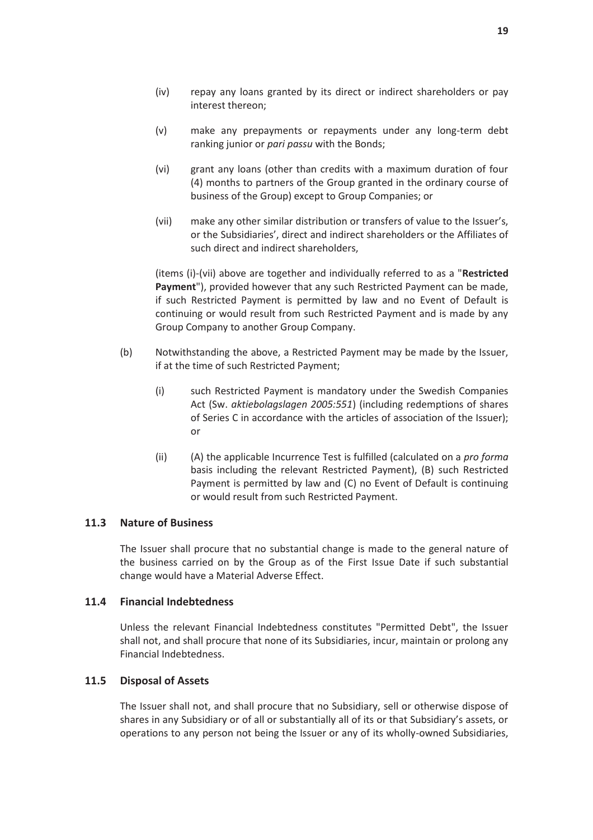- (iv) repay any loans granted by its direct or indirect shareholders or pay interest thereon;
- (v) make any prepayments or repayments under any long-term debt ranking junior or *pari passu* with the Bonds;
- (vi) grant any loans (other than credits with a maximum duration of four (4) months to partners of the Group granted in the ordinary course of business of the Group) except to Group Companies; or
- (vii) make any other similar distribution or transfers of value to the Issuer's, or the Subsidiaries', direct and indirect shareholders or the Affiliates of such direct and indirect shareholders,

(items (i)-(vii) above are together and individually referred to as a "**Restricted Payment**"), provided however that any such Restricted Payment can be made, if such Restricted Payment is permitted by law and no Event of Default is continuing or would result from such Restricted Payment and is made by any Group Company to another Group Company.

- (b) Notwithstanding the above, a Restricted Payment may be made by the Issuer, if at the time of such Restricted Payment;
	- (i) such Restricted Payment is mandatory under the Swedish Companies Act (Sw. *aktiebolagslagen 2005:551*) (including redemptions of shares of Series C in accordance with the articles of association of the Issuer); or
	- (ii) (A) the applicable Incurrence Test is fulfilled (calculated on a *pro forma* basis including the relevant Restricted Payment), (B) such Restricted Payment is permitted by law and (C) no Event of Default is continuing or would result from such Restricted Payment.

# **11.3 Nature of Business**

The Issuer shall procure that no substantial change is made to the general nature of the business carried on by the Group as of the First Issue Date if such substantial change would have a Material Adverse Effect.

#### **11.4 Financial Indebtedness**

Unless the relevant Financial Indebtedness constitutes "Permitted Debt", the Issuer shall not, and shall procure that none of its Subsidiaries, incur, maintain or prolong any Financial Indebtedness.

#### **11.5 Disposal of Assets**

The Issuer shall not, and shall procure that no Subsidiary, sell or otherwise dispose of shares in any Subsidiary or of all or substantially all of its or that Subsidiary's assets, or operations to any person not being the Issuer or any of its wholly-owned Subsidiaries,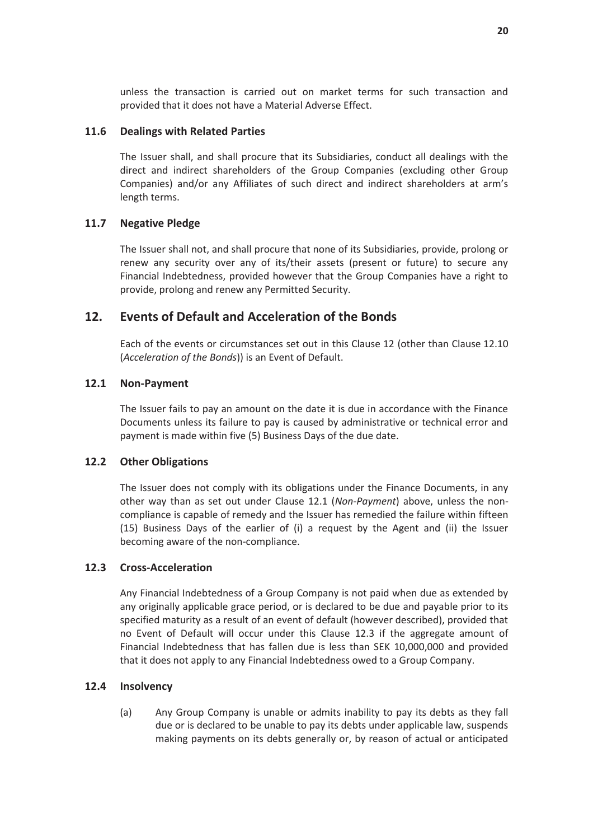unless the transaction is carried out on market terms for such transaction and provided that it does not have a Material Adverse Effect.

## **11.6 Dealings with Related Parties**

The Issuer shall, and shall procure that its Subsidiaries, conduct all dealings with the direct and indirect shareholders of the Group Companies (excluding other Group Companies) and/or any Affiliates of such direct and indirect shareholders at arm's length terms.

# **11.7 Negative Pledge**

The Issuer shall not, and shall procure that none of its Subsidiaries, provide, prolong or renew any security over any of its/their assets (present or future) to secure any Financial Indebtedness, provided however that the Group Companies have a right to provide, prolong and renew any Permitted Security.

# **12. Events of Default and Acceleration of the Bonds**

Each of the events or circumstances set out in this Clause 12 (other than Clause 12.10 (*Acceleration of the Bonds*)) is an Event of Default.

# **12.1 Non-Payment**

The Issuer fails to pay an amount on the date it is due in accordance with the Finance Documents unless its failure to pay is caused by administrative or technical error and payment is made within five (5) Business Days of the due date.

## **12.2 Other Obligations**

The Issuer does not comply with its obligations under the Finance Documents, in any other way than as set out under Clause 12.1 (*Non-Payment*) above, unless the noncompliance is capable of remedy and the Issuer has remedied the failure within fifteen (15) Business Days of the earlier of (i) a request by the Agent and (ii) the Issuer becoming aware of the non-compliance.

## **12.3 Cross-Acceleration**

Any Financial Indebtedness of a Group Company is not paid when due as extended by any originally applicable grace period, or is declared to be due and payable prior to its specified maturity as a result of an event of default (however described), provided that no Event of Default will occur under this Clause 12.3 if the aggregate amount of Financial Indebtedness that has fallen due is less than SEK 10,000,000 and provided that it does not apply to any Financial Indebtedness owed to a Group Company.

## **12.4 Insolvency**

(a) Any Group Company is unable or admits inability to pay its debts as they fall due or is declared to be unable to pay its debts under applicable law, suspends making payments on its debts generally or, by reason of actual or anticipated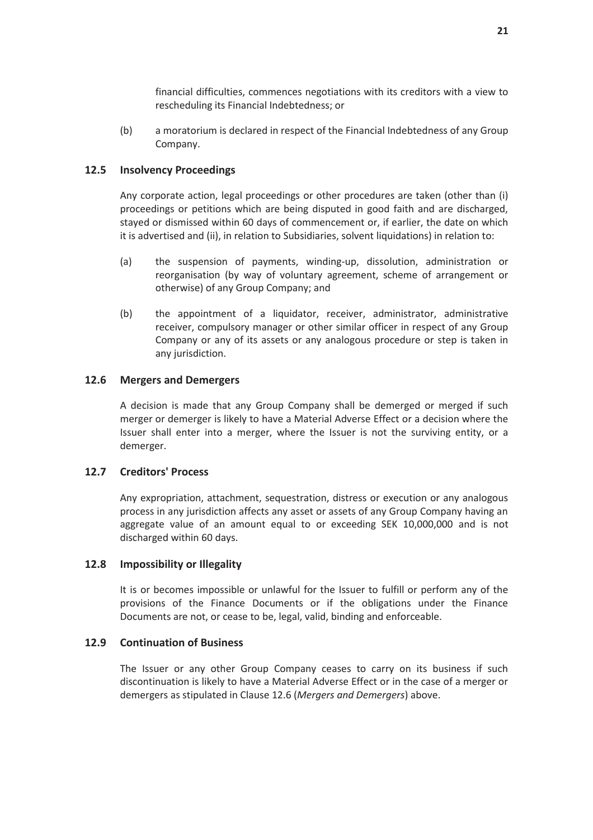financial difficulties, commences negotiations with its creditors with a view to rescheduling its Financial Indebtedness; or

(b) a moratorium is declared in respect of the Financial Indebtedness of any Group Company.

# **12.5 Insolvency Proceedings**

Any corporate action, legal proceedings or other procedures are taken (other than (i) proceedings or petitions which are being disputed in good faith and are discharged, stayed or dismissed within 60 days of commencement or, if earlier, the date on which it is advertised and (ii), in relation to Subsidiaries, solvent liquidations) in relation to:

- (a) the suspension of payments, winding-up, dissolution, administration or reorganisation (by way of voluntary agreement, scheme of arrangement or otherwise) of any Group Company; and
- (b) the appointment of a liquidator, receiver, administrator, administrative receiver, compulsory manager or other similar officer in respect of any Group Company or any of its assets or any analogous procedure or step is taken in any jurisdiction.

# **12.6 Mergers and Demergers**

A decision is made that any Group Company shall be demerged or merged if such merger or demerger is likely to have a Material Adverse Effect or a decision where the Issuer shall enter into a merger, where the Issuer is not the surviving entity, or a demerger.

## **12.7 Creditors' Process**

Any expropriation, attachment, sequestration, distress or execution or any analogous process in any jurisdiction affects any asset or assets of any Group Company having an aggregate value of an amount equal to or exceeding SEK 10,000,000 and is not discharged within 60 days.

## **12.8 Impossibility or Illegality**

It is or becomes impossible or unlawful for the Issuer to fulfill or perform any of the provisions of the Finance Documents or if the obligations under the Finance Documents are not, or cease to be, legal, valid, binding and enforceable.

## **12.9 Continuation of Business**

The Issuer or any other Group Company ceases to carry on its business if such discontinuation is likely to have a Material Adverse Effect or in the case of a merger or demergers as stipulated in Clause 12.6 (*Mergers and Demergers*) above.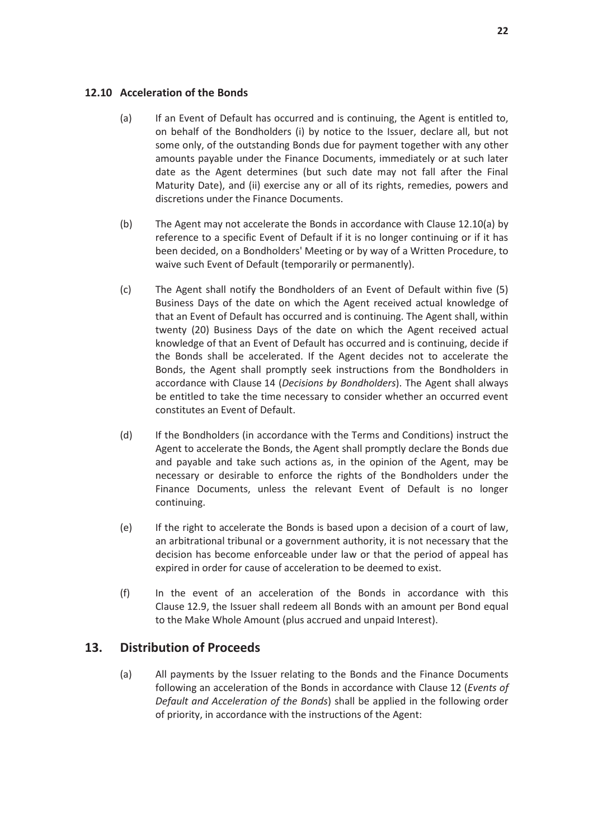# **12.10 Acceleration of the Bonds**

- (a) If an Event of Default has occurred and is continuing, the Agent is entitled to, on behalf of the Bondholders (i) by notice to the Issuer, declare all, but not some only, of the outstanding Bonds due for payment together with any other amounts payable under the Finance Documents, immediately or at such later date as the Agent determines (but such date may not fall after the Final Maturity Date), and (ii) exercise any or all of its rights, remedies, powers and discretions under the Finance Documents.
- (b) The Agent may not accelerate the Bonds in accordance with Clause 12.10(a) by reference to a specific Event of Default if it is no longer continuing or if it has been decided, on a Bondholders' Meeting or by way of a Written Procedure, to waive such Event of Default (temporarily or permanently).
- (c) The Agent shall notify the Bondholders of an Event of Default within five (5) Business Days of the date on which the Agent received actual knowledge of that an Event of Default has occurred and is continuing. The Agent shall, within twenty (20) Business Days of the date on which the Agent received actual knowledge of that an Event of Default has occurred and is continuing, decide if the Bonds shall be accelerated. If the Agent decides not to accelerate the Bonds, the Agent shall promptly seek instructions from the Bondholders in accordance with Clause 14 (*Decisions by Bondholders*). The Agent shall always be entitled to take the time necessary to consider whether an occurred event constitutes an Event of Default.
- (d) If the Bondholders (in accordance with the Terms and Conditions) instruct the Agent to accelerate the Bonds, the Agent shall promptly declare the Bonds due and payable and take such actions as, in the opinion of the Agent, may be necessary or desirable to enforce the rights of the Bondholders under the Finance Documents, unless the relevant Event of Default is no longer continuing.
- (e) If the right to accelerate the Bonds is based upon a decision of a court of law, an arbitrational tribunal or a government authority, it is not necessary that the decision has become enforceable under law or that the period of appeal has expired in order for cause of acceleration to be deemed to exist.
- (f) In the event of an acceleration of the Bonds in accordance with this Clause 12.9, the Issuer shall redeem all Bonds with an amount per Bond equal to the Make Whole Amount (plus accrued and unpaid Interest).

# **13. Distribution of Proceeds**

(a) All payments by the Issuer relating to the Bonds and the Finance Documents following an acceleration of the Bonds in accordance with Clause 12 (*Events of Default and Acceleration of the Bonds*) shall be applied in the following order of priority, in accordance with the instructions of the Agent: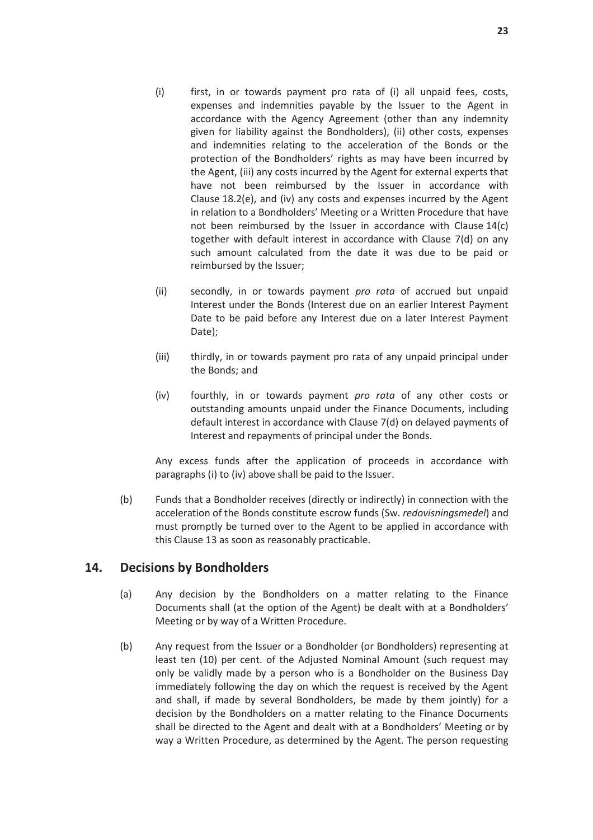- $(i)$  first, in or towards payment pro rata of  $(i)$  all unpaid fees, costs, expenses and indemnities payable by the Issuer to the Agent in accordance with the Agency Agreement (other than any indemnity given for liability against the Bondholders), (ii) other costs, expenses and indemnities relating to the acceleration of the Bonds or the protection of the Bondholders' rights as may have been incurred by the Agent, (iii) any costs incurred by the Agent for external experts that have not been reimbursed by the Issuer in accordance with Clause 18.2(e), and (iv) any costs and expenses incurred by the Agent in relation to a Bondholders' Meeting or a Written Procedure that have not been reimbursed by the Issuer in accordance with Clause 14(c) together with default interest in accordance with Clause 7(d) on any such amount calculated from the date it was due to be paid or reimbursed by the Issuer;
- (ii) secondly, in or towards payment *pro rata* of accrued but unpaid Interest under the Bonds (Interest due on an earlier Interest Payment Date to be paid before any Interest due on a later Interest Payment Date);
- (iii) thirdly, in or towards payment pro rata of any unpaid principal under the Bonds; and
- (iv) fourthly, in or towards payment *pro rata* of any other costs or outstanding amounts unpaid under the Finance Documents, including default interest in accordance with Clause 7(d) on delayed payments of Interest and repayments of principal under the Bonds.

Any excess funds after the application of proceeds in accordance with paragraphs (i) to (iv) above shall be paid to the Issuer.

(b) Funds that a Bondholder receives (directly or indirectly) in connection with the acceleration of the Bonds constitute escrow funds (Sw. *redovisningsmedel*) and must promptly be turned over to the Agent to be applied in accordance with this Clause 13 as soon as reasonably practicable.

# **14. Decisions by Bondholders**

- (a) Any decision by the Bondholders on a matter relating to the Finance Documents shall (at the option of the Agent) be dealt with at a Bondholders' Meeting or by way of a Written Procedure.
- (b) Any request from the Issuer or a Bondholder (or Bondholders) representing at least ten (10) per cent. of the Adjusted Nominal Amount (such request may only be validly made by a person who is a Bondholder on the Business Day immediately following the day on which the request is received by the Agent and shall, if made by several Bondholders, be made by them jointly) for a decision by the Bondholders on a matter relating to the Finance Documents shall be directed to the Agent and dealt with at a Bondholders' Meeting or by way a Written Procedure, as determined by the Agent. The person requesting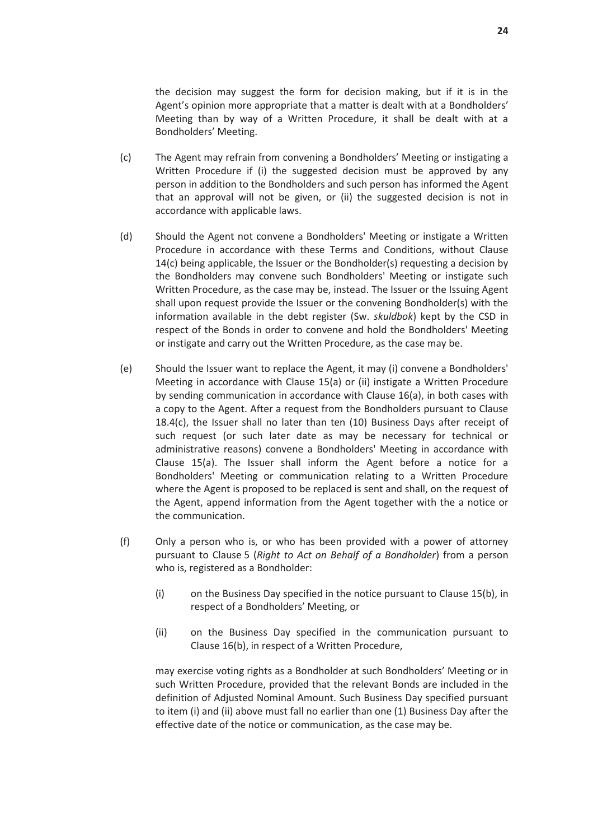the decision may suggest the form for decision making, but if it is in the Agent's opinion more appropriate that a matter is dealt with at a Bondholders' Meeting than by way of a Written Procedure, it shall be dealt with at a Bondholders' Meeting.

- (c) The Agent may refrain from convening a Bondholders' Meeting or instigating a Written Procedure if (i) the suggested decision must be approved by any person in addition to the Bondholders and such person has informed the Agent that an approval will not be given, or (ii) the suggested decision is not in accordance with applicable laws.
- (d) Should the Agent not convene a Bondholders' Meeting or instigate a Written Procedure in accordance with these Terms and Conditions, without Clause  $14(c)$  being applicable, the Issuer or the Bondholder(s) requesting a decision by the Bondholders may convene such Bondholders' Meeting or instigate such Written Procedure, as the case may be, instead. The Issuer or the Issuing Agent shall upon request provide the Issuer or the convening Bondholder(s) with the information available in the debt register (Sw. *skuldbok*) kept by the CSD in respect of the Bonds in order to convene and hold the Bondholders' Meeting or instigate and carry out the Written Procedure, as the case may be.
- (e) Should the Issuer want to replace the Agent, it may (i) convene a Bondholders' Meeting in accordance with Clause 15(a) or (ii) instigate a Written Procedure by sending communication in accordance with Clause 16(a), in both cases with a copy to the Agent. After a request from the Bondholders pursuant to Clause 18.4(c), the Issuer shall no later than ten (10) Business Days after receipt of such request (or such later date as may be necessary for technical or administrative reasons) convene a Bondholders' Meeting in accordance with Clause 15(a). The Issuer shall inform the Agent before a notice for a Bondholders' Meeting or communication relating to a Written Procedure where the Agent is proposed to be replaced is sent and shall, on the request of the Agent, append information from the Agent together with the a notice or the communication.
- (f) Only a person who is, or who has been provided with a power of attorney pursuant to Clause 5 (*Right to Act on Behalf of a Bondholder*) from a person who is, registered as a Bondholder:
	- (i) on the Business Day specified in the notice pursuant to Clause 15(b), in respect of a Bondholders' Meeting, or
	- (ii) on the Business Day specified in the communication pursuant to Clause 16(b), in respect of a Written Procedure,

may exercise voting rights as a Bondholder at such Bondholders' Meeting or in such Written Procedure, provided that the relevant Bonds are included in the definition of Adjusted Nominal Amount. Such Business Day specified pursuant to item (i) and (ii) above must fall no earlier than one (1) Business Day after the effective date of the notice or communication, as the case may be.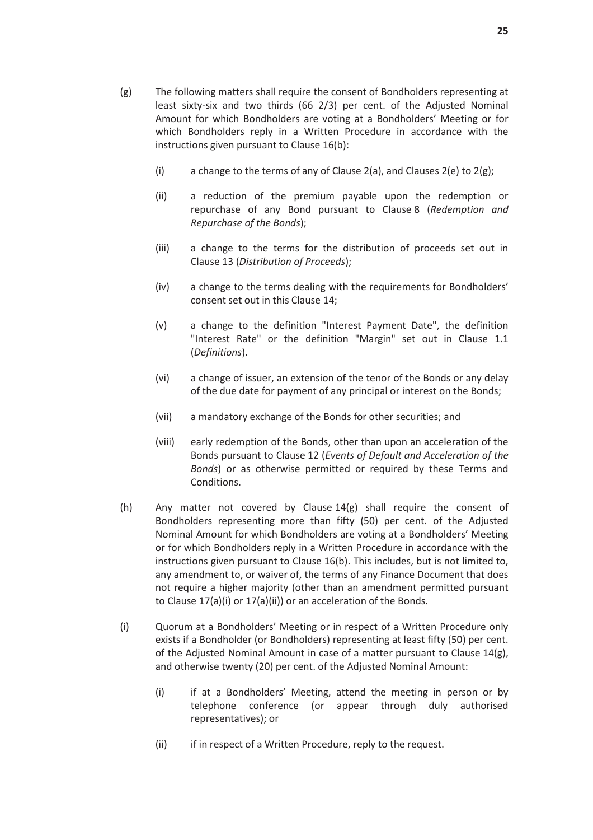- (g) The following matters shall require the consent of Bondholders representing at least sixty-six and two thirds (66 2/3) per cent. of the Adjusted Nominal Amount for which Bondholders are voting at a Bondholders' Meeting or for which Bondholders reply in a Written Procedure in accordance with the instructions given pursuant to Clause 16(b):
	- (i) a change to the terms of any of Clause 2(a), and Clauses  $2(e)$  to  $2(g)$ ;
	- (ii) a reduction of the premium payable upon the redemption or repurchase of any Bond pursuant to Clause 8 (*Redemption and Repurchase of the Bonds*);
	- (iii) a change to the terms for the distribution of proceeds set out in Clause 13 (*Distribution of Proceeds*);
	- (iv) a change to the terms dealing with the requirements for Bondholders' consent set out in this Clause 14;
	- (v) a change to the definition "Interest Payment Date", the definition "Interest Rate" or the definition "Margin" set out in Clause 1.1 (*Definitions*).
	- (vi) a change of issuer, an extension of the tenor of the Bonds or any delay of the due date for payment of any principal or interest on the Bonds;
	- (vii) a mandatory exchange of the Bonds for other securities; and
	- (viii) early redemption of the Bonds, other than upon an acceleration of the Bonds pursuant to Clause 12 (*Events of Default and Acceleration of the Bonds*) or as otherwise permitted or required by these Terms and Conditions.
- (h) Any matter not covered by Clause 14(g) shall require the consent of Bondholders representing more than fifty (50) per cent. of the Adjusted Nominal Amount for which Bondholders are voting at a Bondholders' Meeting or for which Bondholders reply in a Written Procedure in accordance with the instructions given pursuant to Clause 16(b). This includes, but is not limited to, any amendment to, or waiver of, the terms of any Finance Document that does not require a higher majority (other than an amendment permitted pursuant to Clause 17(a)(i) or 17(a)(ii)) or an acceleration of the Bonds.
- (i) Quorum at a Bondholders' Meeting or in respect of a Written Procedure only exists if a Bondholder (or Bondholders) representing at least fifty (50) per cent. of the Adjusted Nominal Amount in case of a matter pursuant to Clause 14(g), and otherwise twenty (20) per cent. of the Adjusted Nominal Amount:
	- (i) if at a Bondholders' Meeting, attend the meeting in person or by telephone conference (or appear through duly authorised representatives); or
	- (ii) if in respect of a Written Procedure, reply to the request.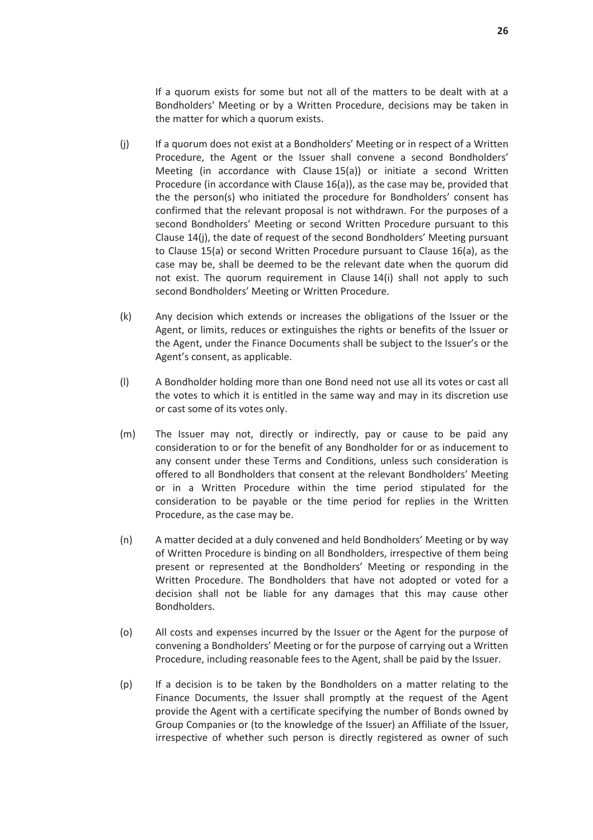If a quorum exists for some but not all of the matters to be dealt with at a Bondholders' Meeting or by a Written Procedure, decisions may be taken in the matter for which a quorum exists.

- (j) If a quorum does not exist at a Bondholders' Meeting or in respect of a Written Procedure, the Agent or the Issuer shall convene a second Bondholders' Meeting (in accordance with Clause 15(a)) or initiate a second Written Procedure (in accordance with Clause 16(a)), as the case may be, provided that the the person(s) who initiated the procedure for Bondholders' consent has confirmed that the relevant proposal is not withdrawn. For the purposes of a second Bondholders' Meeting or second Written Procedure pursuant to this Clause 14(j), the date of request of the second Bondholders' Meeting pursuant to Clause 15(a) or second Written Procedure pursuant to Clause 16(a), as the case may be, shall be deemed to be the relevant date when the quorum did not exist. The quorum requirement in Clause 14(i) shall not apply to such second Bondholders' Meeting or Written Procedure.
- (k) Any decision which extends or increases the obligations of the Issuer or the Agent, or limits, reduces or extinguishes the rights or benefits of the Issuer or the Agent, under the Finance Documents shall be subject to the Issuer's or the Agent's consent, as applicable.
- (l) A Bondholder holding more than one Bond need not use all its votes or cast all the votes to which it is entitled in the same way and may in its discretion use or cast some of its votes only.
- (m) The Issuer may not, directly or indirectly, pay or cause to be paid any consideration to or for the benefit of any Bondholder for or as inducement to any consent under these Terms and Conditions, unless such consideration is offered to all Bondholders that consent at the relevant Bondholders' Meeting or in a Written Procedure within the time period stipulated for the consideration to be payable or the time period for replies in the Written Procedure, as the case may be.
- (n) A matter decided at a duly convened and held Bondholders' Meeting or by way of Written Procedure is binding on all Bondholders, irrespective of them being present or represented at the Bondholders' Meeting or responding in the Written Procedure. The Bondholders that have not adopted or voted for a decision shall not be liable for any damages that this may cause other Bondholders.
- (o) All costs and expenses incurred by the Issuer or the Agent for the purpose of convening a Bondholders' Meeting or for the purpose of carrying out a Written Procedure, including reasonable fees to the Agent, shall be paid by the Issuer.
- (p) If a decision is to be taken by the Bondholders on a matter relating to the Finance Documents, the Issuer shall promptly at the request of the Agent provide the Agent with a certificate specifying the number of Bonds owned by Group Companies or (to the knowledge of the Issuer) an Affiliate of the Issuer, irrespective of whether such person is directly registered as owner of such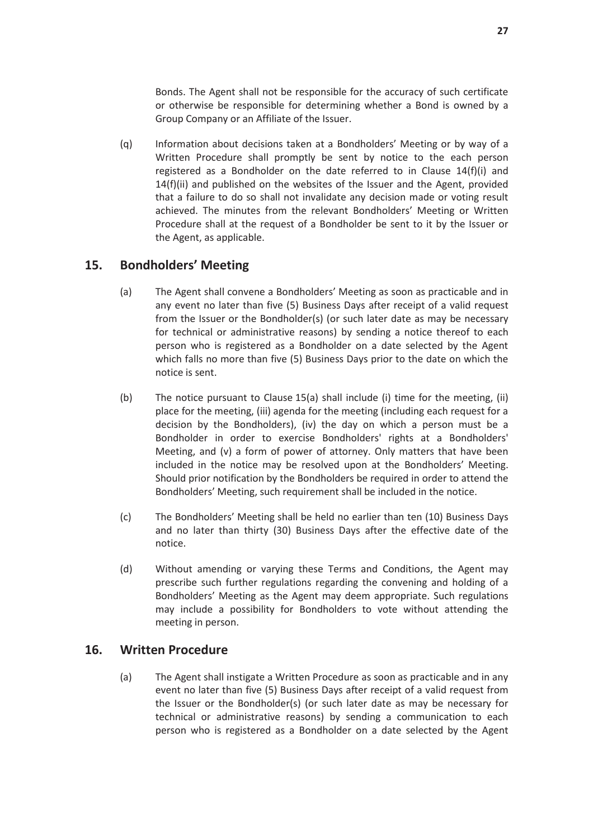Bonds. The Agent shall not be responsible for the accuracy of such certificate or otherwise be responsible for determining whether a Bond is owned by a Group Company or an Affiliate of the Issuer.

(q) Information about decisions taken at a Bondholders' Meeting or by way of a Written Procedure shall promptly be sent by notice to the each person registered as a Bondholder on the date referred to in Clause 14(f)(i) and 14(f)(ii) and published on the websites of the Issuer and the Agent, provided that a failure to do so shall not invalidate any decision made or voting result achieved. The minutes from the relevant Bondholders' Meeting or Written Procedure shall at the request of a Bondholder be sent to it by the Issuer or the Agent, as applicable.

# **15. Bondholders' Meeting**

- (a) The Agent shall convene a Bondholders' Meeting as soon as practicable and in any event no later than five (5) Business Days after receipt of a valid request from the Issuer or the Bondholder(s) (or such later date as may be necessary for technical or administrative reasons) by sending a notice thereof to each person who is registered as a Bondholder on a date selected by the Agent which falls no more than five (5) Business Days prior to the date on which the notice is sent.
- (b) The notice pursuant to Clause 15(a) shall include (i) time for the meeting, (ii) place for the meeting, (iii) agenda for the meeting (including each request for a decision by the Bondholders), (iv) the day on which a person must be a Bondholder in order to exercise Bondholders' rights at a Bondholders' Meeting, and (v) a form of power of attorney. Only matters that have been included in the notice may be resolved upon at the Bondholders' Meeting. Should prior notification by the Bondholders be required in order to attend the Bondholders' Meeting, such requirement shall be included in the notice.
- (c) The Bondholders' Meeting shall be held no earlier than ten (10) Business Days and no later than thirty (30) Business Days after the effective date of the notice.
- (d) Without amending or varying these Terms and Conditions, the Agent may prescribe such further regulations regarding the convening and holding of a Bondholders' Meeting as the Agent may deem appropriate. Such regulations may include a possibility for Bondholders to vote without attending the meeting in person.

# **16. Written Procedure**

(a) The Agent shall instigate a Written Procedure as soon as practicable and in any event no later than five (5) Business Days after receipt of a valid request from the Issuer or the Bondholder(s) (or such later date as may be necessary for technical or administrative reasons) by sending a communication to each person who is registered as a Bondholder on a date selected by the Agent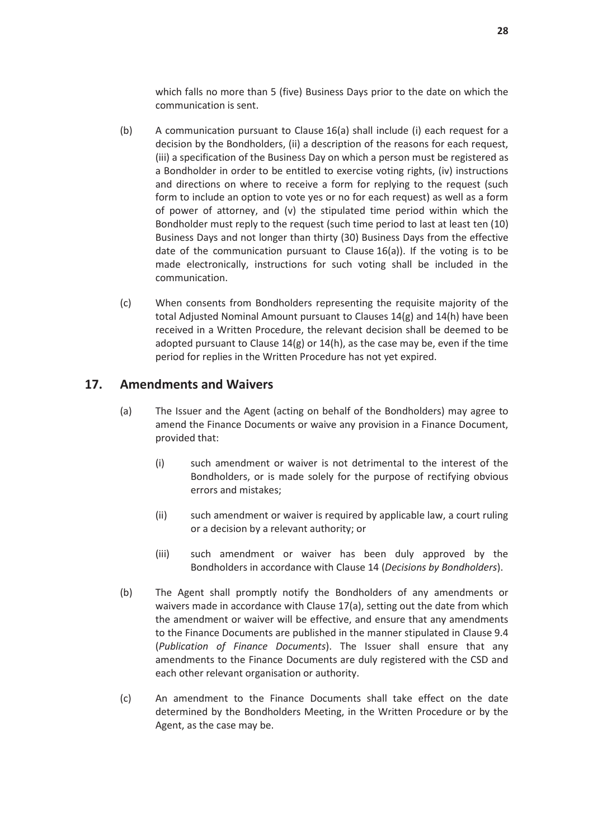which falls no more than 5 (five) Business Days prior to the date on which the communication is sent.

- (b) A communication pursuant to Clause 16(a) shall include (i) each request for a decision by the Bondholders, (ii) a description of the reasons for each request, (iii) a specification of the Business Day on which a person must be registered as a Bondholder in order to be entitled to exercise voting rights, (iv) instructions and directions on where to receive a form for replying to the request (such form to include an option to vote yes or no for each request) as well as a form of power of attorney, and (v) the stipulated time period within which the Bondholder must reply to the request (such time period to last at least ten (10) Business Days and not longer than thirty (30) Business Days from the effective date of the communication pursuant to Clause 16(a)). If the voting is to be made electronically, instructions for such voting shall be included in the communication.
- (c) When consents from Bondholders representing the requisite majority of the total Adjusted Nominal Amount pursuant to Clauses 14(g) and 14(h) have been received in a Written Procedure, the relevant decision shall be deemed to be adopted pursuant to Clause 14(g) or 14(h), as the case may be, even if the time period for replies in the Written Procedure has not yet expired.

# **17. Amendments and Waivers**

- (a) The Issuer and the Agent (acting on behalf of the Bondholders) may agree to amend the Finance Documents or waive any provision in a Finance Document, provided that:
	- (i) such amendment or waiver is not detrimental to the interest of the Bondholders, or is made solely for the purpose of rectifying obvious errors and mistakes;
	- (ii) such amendment or waiver is required by applicable law, a court ruling or a decision by a relevant authority; or
	- (iii) such amendment or waiver has been duly approved by the Bondholders in accordance with Clause 14 (*Decisions by Bondholders*).
- (b) The Agent shall promptly notify the Bondholders of any amendments or waivers made in accordance with Clause 17(a), setting out the date from which the amendment or waiver will be effective, and ensure that any amendments to the Finance Documents are published in the manner stipulated in Clause 9.4 (*Publication of Finance Documents*). The Issuer shall ensure that any amendments to the Finance Documents are duly registered with the CSD and each other relevant organisation or authority.
- (c) An amendment to the Finance Documents shall take effect on the date determined by the Bondholders Meeting, in the Written Procedure or by the Agent, as the case may be.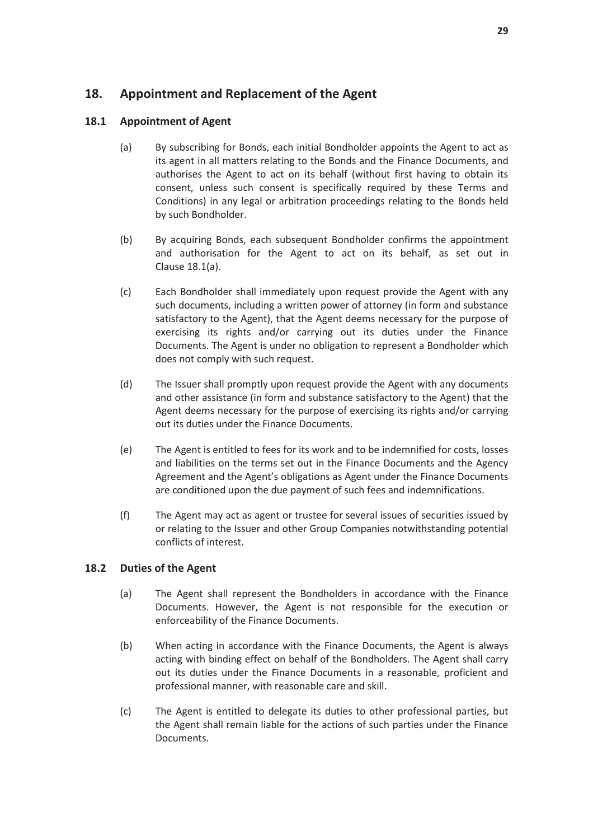# **18. Appointment and Replacement of the Agent**

# **18.1 Appointment of Agent**

- (a) By subscribing for Bonds, each initial Bondholder appoints the Agent to act as its agent in all matters relating to the Bonds and the Finance Documents, and authorises the Agent to act on its behalf (without first having to obtain its consent, unless such consent is specifically required by these Terms and Conditions) in any legal or arbitration proceedings relating to the Bonds held by such Bondholder.
- (b) By acquiring Bonds, each subsequent Bondholder confirms the appointment and authorisation for the Agent to act on its behalf, as set out in Clause 18.1(a).
- (c) Each Bondholder shall immediately upon request provide the Agent with any such documents, including a written power of attorney (in form and substance satisfactory to the Agent), that the Agent deems necessary for the purpose of exercising its rights and/or carrying out its duties under the Finance Documents. The Agent is under no obligation to represent a Bondholder which does not comply with such request.
- (d) The Issuer shall promptly upon request provide the Agent with any documents and other assistance (in form and substance satisfactory to the Agent) that the Agent deems necessary for the purpose of exercising its rights and/or carrying out its duties under the Finance Documents.
- (e) The Agent is entitled to fees for its work and to be indemnified for costs, losses and liabilities on the terms set out in the Finance Documents and the Agency Agreement and the Agent's obligations as Agent under the Finance Documents are conditioned upon the due payment of such fees and indemnifications.
- (f) The Agent may act as agent or trustee for several issues of securities issued by or relating to the Issuer and other Group Companies notwithstanding potential conflicts of interest.

# **18.2 Duties of the Agent**

- (a) The Agent shall represent the Bondholders in accordance with the Finance Documents. However, the Agent is not responsible for the execution or enforceability of the Finance Documents.
- (b) When acting in accordance with the Finance Documents, the Agent is always acting with binding effect on behalf of the Bondholders. The Agent shall carry out its duties under the Finance Documents in a reasonable, proficient and professional manner, with reasonable care and skill.
- (c) The Agent is entitled to delegate its duties to other professional parties, but the Agent shall remain liable for the actions of such parties under the Finance Documents.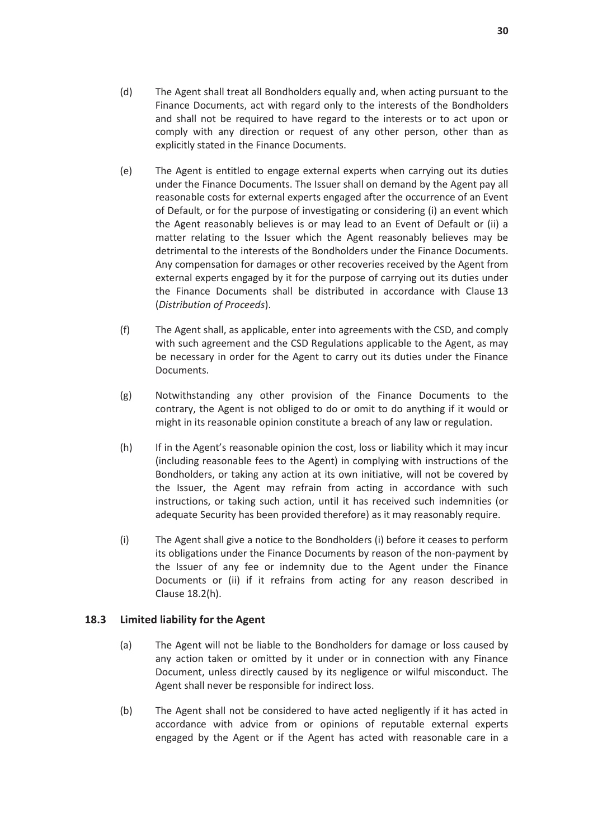- (d) The Agent shall treat all Bondholders equally and, when acting pursuant to the Finance Documents, act with regard only to the interests of the Bondholders and shall not be required to have regard to the interests or to act upon or comply with any direction or request of any other person, other than as explicitly stated in the Finance Documents.
- (e) The Agent is entitled to engage external experts when carrying out its duties under the Finance Documents. The Issuer shall on demand by the Agent pay all reasonable costs for external experts engaged after the occurrence of an Event of Default, or for the purpose of investigating or considering (i) an event which the Agent reasonably believes is or may lead to an Event of Default or (ii) a matter relating to the Issuer which the Agent reasonably believes may be detrimental to the interests of the Bondholders under the Finance Documents. Any compensation for damages or other recoveries received by the Agent from external experts engaged by it for the purpose of carrying out its duties under the Finance Documents shall be distributed in accordance with Clause 13 (*Distribution of Proceeds*).
- (f) The Agent shall, as applicable, enter into agreements with the CSD, and comply with such agreement and the CSD Regulations applicable to the Agent, as may be necessary in order for the Agent to carry out its duties under the Finance Documents.
- (g) Notwithstanding any other provision of the Finance Documents to the contrary, the Agent is not obliged to do or omit to do anything if it would or might in its reasonable opinion constitute a breach of any law or regulation.
- (h) If in the Agent's reasonable opinion the cost, loss or liability which it may incur (including reasonable fees to the Agent) in complying with instructions of the Bondholders, or taking any action at its own initiative, will not be covered by the Issuer, the Agent may refrain from acting in accordance with such instructions, or taking such action, until it has received such indemnities (or adequate Security has been provided therefore) as it may reasonably require.
- (i) The Agent shall give a notice to the Bondholders (i) before it ceases to perform its obligations under the Finance Documents by reason of the non-payment by the Issuer of any fee or indemnity due to the Agent under the Finance Documents or (ii) if it refrains from acting for any reason described in Clause 18.2(h).

# **18.3 Limited liability for the Agent**

- (a) The Agent will not be liable to the Bondholders for damage or loss caused by any action taken or omitted by it under or in connection with any Finance Document, unless directly caused by its negligence or wilful misconduct. The Agent shall never be responsible for indirect loss.
- (b) The Agent shall not be considered to have acted negligently if it has acted in accordance with advice from or opinions of reputable external experts engaged by the Agent or if the Agent has acted with reasonable care in a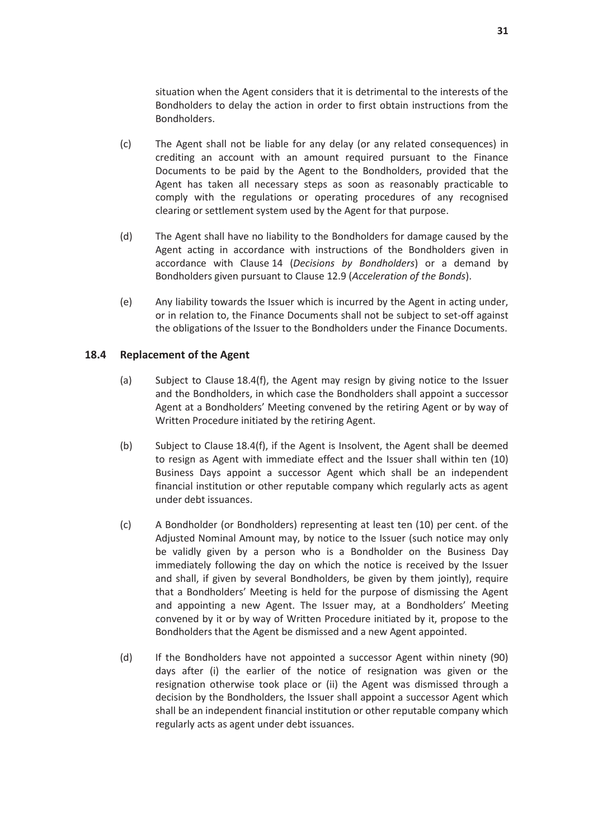situation when the Agent considers that it is detrimental to the interests of the Bondholders to delay the action in order to first obtain instructions from the Bondholders.

- (c) The Agent shall not be liable for any delay (or any related consequences) in crediting an account with an amount required pursuant to the Finance Documents to be paid by the Agent to the Bondholders, provided that the Agent has taken all necessary steps as soon as reasonably practicable to comply with the regulations or operating procedures of any recognised clearing or settlement system used by the Agent for that purpose.
- (d) The Agent shall have no liability to the Bondholders for damage caused by the Agent acting in accordance with instructions of the Bondholders given in accordance with Clause 14 (*Decisions by Bondholders*) or a demand by Bondholders given pursuant to Clause 12.9 (*Acceleration of the Bonds*).
- (e) Any liability towards the Issuer which is incurred by the Agent in acting under, or in relation to, the Finance Documents shall not be subject to set-off against the obligations of the Issuer to the Bondholders under the Finance Documents.

## **18.4 Replacement of the Agent**

- (a) Subject to Clause 18.4(f), the Agent may resign by giving notice to the Issuer and the Bondholders, in which case the Bondholders shall appoint a successor Agent at a Bondholders' Meeting convened by the retiring Agent or by way of Written Procedure initiated by the retiring Agent.
- (b) Subject to Clause 18.4(f), if the Agent is Insolvent, the Agent shall be deemed to resign as Agent with immediate effect and the Issuer shall within ten (10) Business Days appoint a successor Agent which shall be an independent financial institution or other reputable company which regularly acts as agent under debt issuances.
- (c) A Bondholder (or Bondholders) representing at least ten (10) per cent. of the Adjusted Nominal Amount may, by notice to the Issuer (such notice may only be validly given by a person who is a Bondholder on the Business Day immediately following the day on which the notice is received by the Issuer and shall, if given by several Bondholders, be given by them jointly), require that a Bondholders' Meeting is held for the purpose of dismissing the Agent and appointing a new Agent. The Issuer may, at a Bondholders' Meeting convened by it or by way of Written Procedure initiated by it, propose to the Bondholders that the Agent be dismissed and a new Agent appointed.
- (d) If the Bondholders have not appointed a successor Agent within ninety (90) days after (i) the earlier of the notice of resignation was given or the resignation otherwise took place or (ii) the Agent was dismissed through a decision by the Bondholders, the Issuer shall appoint a successor Agent which shall be an independent financial institution or other reputable company which regularly acts as agent under debt issuances.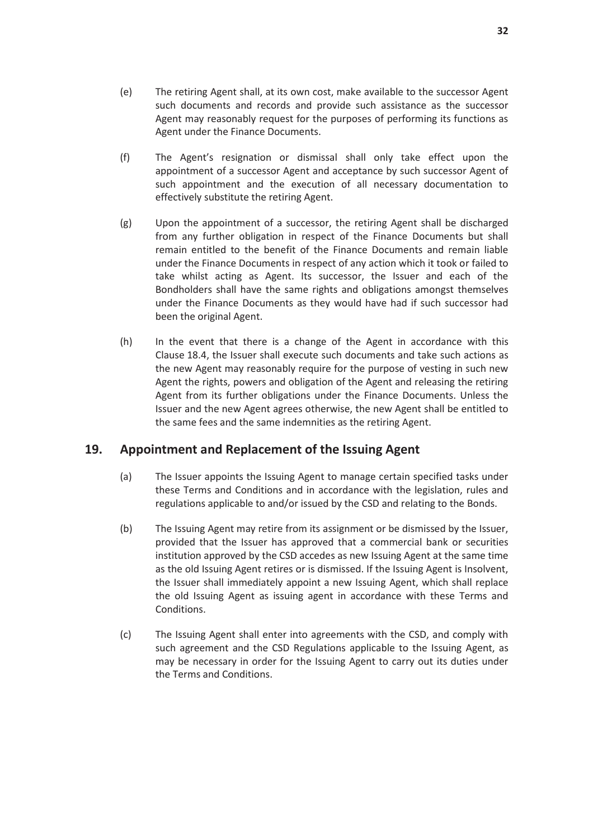- (e) The retiring Agent shall, at its own cost, make available to the successor Agent such documents and records and provide such assistance as the successor Agent may reasonably request for the purposes of performing its functions as Agent under the Finance Documents.
- (f) The Agent's resignation or dismissal shall only take effect upon the appointment of a successor Agent and acceptance by such successor Agent of such appointment and the execution of all necessary documentation to effectively substitute the retiring Agent.
- (g) Upon the appointment of a successor, the retiring Agent shall be discharged from any further obligation in respect of the Finance Documents but shall remain entitled to the benefit of the Finance Documents and remain liable under the Finance Documents in respect of any action which it took or failed to take whilst acting as Agent. Its successor, the Issuer and each of the Bondholders shall have the same rights and obligations amongst themselves under the Finance Documents as they would have had if such successor had been the original Agent.
- (h) In the event that there is a change of the Agent in accordance with this Clause 18.4, the Issuer shall execute such documents and take such actions as the new Agent may reasonably require for the purpose of vesting in such new Agent the rights, powers and obligation of the Agent and releasing the retiring Agent from its further obligations under the Finance Documents. Unless the Issuer and the new Agent agrees otherwise, the new Agent shall be entitled to the same fees and the same indemnities as the retiring Agent.

# **19. Appointment and Replacement of the Issuing Agent**

- (a) The Issuer appoints the Issuing Agent to manage certain specified tasks under these Terms and Conditions and in accordance with the legislation, rules and regulations applicable to and/or issued by the CSD and relating to the Bonds.
- (b) The Issuing Agent may retire from its assignment or be dismissed by the Issuer, provided that the Issuer has approved that a commercial bank or securities institution approved by the CSD accedes as new Issuing Agent at the same time as the old Issuing Agent retires or is dismissed. If the Issuing Agent is Insolvent, the Issuer shall immediately appoint a new Issuing Agent, which shall replace the old Issuing Agent as issuing agent in accordance with these Terms and Conditions.
- (c) The Issuing Agent shall enter into agreements with the CSD, and comply with such agreement and the CSD Regulations applicable to the Issuing Agent, as may be necessary in order for the Issuing Agent to carry out its duties under the Terms and Conditions.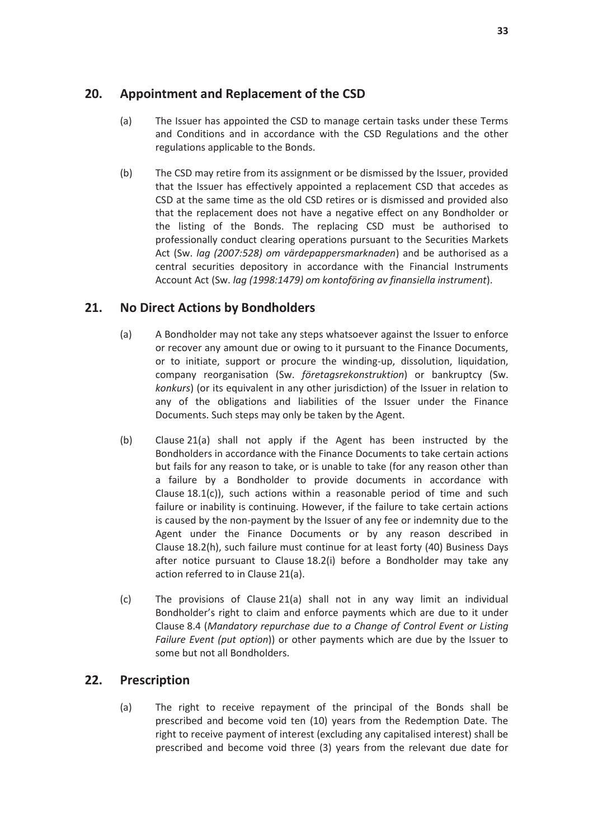# **20. Appointment and Replacement of the CSD**

- (a) The Issuer has appointed the CSD to manage certain tasks under these Terms and Conditions and in accordance with the CSD Regulations and the other regulations applicable to the Bonds.
- (b) The CSD may retire from its assignment or be dismissed by the Issuer, provided that the Issuer has effectively appointed a replacement CSD that accedes as CSD at the same time as the old CSD retires or is dismissed and provided also that the replacement does not have a negative effect on any Bondholder or the listing of the Bonds. The replacing CSD must be authorised to professionally conduct clearing operations pursuant to the Securities Markets Act (Sw. *lag (2007:528) om värdepappersmarknaden*) and be authorised as a central securities depository in accordance with the Financial Instruments Account Act (Sw. *lag (1998:1479) om kontoföring av finansiella instrument*).

# **21. No Direct Actions by Bondholders**

- (a) A Bondholder may not take any steps whatsoever against the Issuer to enforce or recover any amount due or owing to it pursuant to the Finance Documents, or to initiate, support or procure the winding-up, dissolution, liquidation, company reorganisation (Sw. *företagsrekonstruktion*) or bankruptcy (Sw. *konkurs*) (or its equivalent in any other jurisdiction) of the Issuer in relation to any of the obligations and liabilities of the Issuer under the Finance Documents. Such steps may only be taken by the Agent.
- (b) Clause 21(a) shall not apply if the Agent has been instructed by the Bondholders in accordance with the Finance Documents to take certain actions but fails for any reason to take, or is unable to take (for any reason other than a failure by a Bondholder to provide documents in accordance with Clause 18.1(c)), such actions within a reasonable period of time and such failure or inability is continuing. However, if the failure to take certain actions is caused by the non-payment by the Issuer of any fee or indemnity due to the Agent under the Finance Documents or by any reason described in Clause 18.2(h), such failure must continue for at least forty (40) Business Days after notice pursuant to Clause 18.2(i) before a Bondholder may take any action referred to in Clause 21(a).
- (c) The provisions of Clause 21(a) shall not in any way limit an individual Bondholder's right to claim and enforce payments which are due to it under Clause 8.4 (*Mandatory repurchase due to a Change of Control Event or Listing Failure Event (put option*)) or other payments which are due by the Issuer to some but not all Bondholders.

# **22. Prescription**

(a) The right to receive repayment of the principal of the Bonds shall be prescribed and become void ten (10) years from the Redemption Date. The right to receive payment of interest (excluding any capitalised interest) shall be prescribed and become void three (3) years from the relevant due date for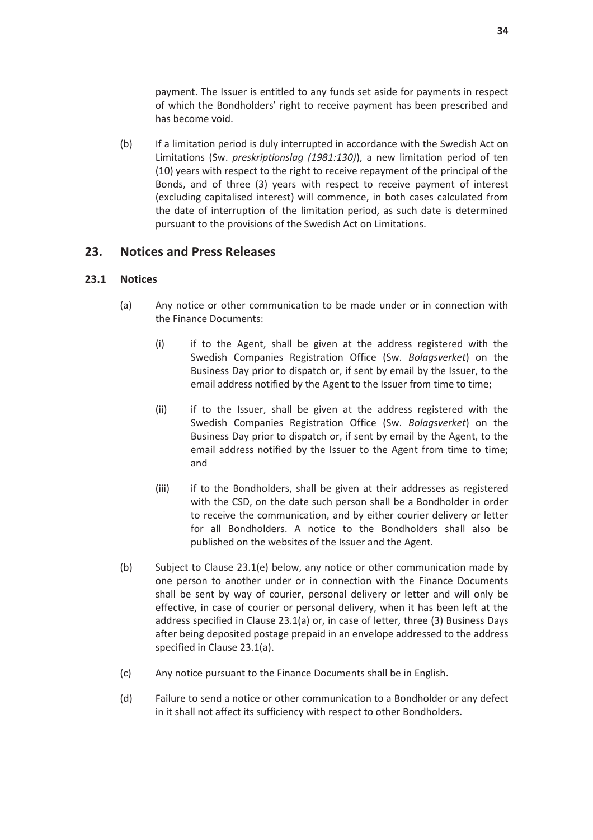payment. The Issuer is entitled to any funds set aside for payments in respect of which the Bondholders' right to receive payment has been prescribed and has become void.

(b) If a limitation period is duly interrupted in accordance with the Swedish Act on Limitations (Sw. *preskriptionslag (1981:130)*), a new limitation period of ten (10) years with respect to the right to receive repayment of the principal of the Bonds, and of three (3) years with respect to receive payment of interest (excluding capitalised interest) will commence, in both cases calculated from the date of interruption of the limitation period, as such date is determined pursuant to the provisions of the Swedish Act on Limitations.

# **23. Notices and Press Releases**

# **23.1 Notices**

- (a) Any notice or other communication to be made under or in connection with the Finance Documents:
	- (i) if to the Agent, shall be given at the address registered with the Swedish Companies Registration Office (Sw. *Bolagsverket*) on the Business Day prior to dispatch or, if sent by email by the Issuer, to the email address notified by the Agent to the Issuer from time to time;
	- (ii) if to the Issuer, shall be given at the address registered with the Swedish Companies Registration Office (Sw. *Bolagsverket*) on the Business Day prior to dispatch or, if sent by email by the Agent, to the email address notified by the Issuer to the Agent from time to time; and
	- (iii) if to the Bondholders, shall be given at their addresses as registered with the CSD, on the date such person shall be a Bondholder in order to receive the communication, and by either courier delivery or letter for all Bondholders. A notice to the Bondholders shall also be published on the websites of the Issuer and the Agent.
- (b) Subject to Clause 23.1(e) below, any notice or other communication made by one person to another under or in connection with the Finance Documents shall be sent by way of courier, personal delivery or letter and will only be effective, in case of courier or personal delivery, when it has been left at the address specified in Clause 23.1(a) or, in case of letter, three (3) Business Days after being deposited postage prepaid in an envelope addressed to the address specified in Clause 23.1(a).
- (c) Any notice pursuant to the Finance Documents shall be in English.
- (d) Failure to send a notice or other communication to a Bondholder or any defect in it shall not affect its sufficiency with respect to other Bondholders.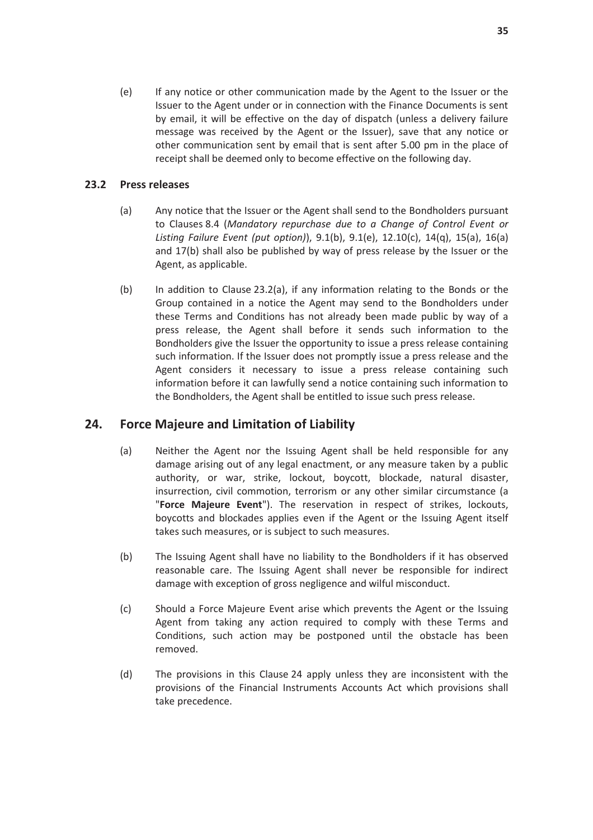**35** 

(e) If any notice or other communication made by the Agent to the Issuer or the Issuer to the Agent under or in connection with the Finance Documents is sent by email, it will be effective on the day of dispatch (unless a delivery failure message was received by the Agent or the Issuer), save that any notice or other communication sent by email that is sent after 5.00 pm in the place of receipt shall be deemed only to become effective on the following day.

# **23.2 Press releases**

- (a) Any notice that the Issuer or the Agent shall send to the Bondholders pursuant to Clauses 8.4 (*Mandatory repurchase due to a Change of Control Event or Listing Failure Event (put option)*), 9.1(b), 9.1(e), 12.10(c), 14(q), 15(a), 16(a) and 17(b) shall also be published by way of press release by the Issuer or the Agent, as applicable.
- (b) In addition to Clause 23.2(a), if any information relating to the Bonds or the Group contained in a notice the Agent may send to the Bondholders under these Terms and Conditions has not already been made public by way of a press release, the Agent shall before it sends such information to the Bondholders give the Issuer the opportunity to issue a press release containing such information. If the Issuer does not promptly issue a press release and the Agent considers it necessary to issue a press release containing such information before it can lawfully send a notice containing such information to the Bondholders, the Agent shall be entitled to issue such press release.

# **24. Force Majeure and Limitation of Liability**

- (a) Neither the Agent nor the Issuing Agent shall be held responsible for any damage arising out of any legal enactment, or any measure taken by a public authority, or war, strike, lockout, boycott, blockade, natural disaster, insurrection, civil commotion, terrorism or any other similar circumstance (a "**Force Majeure Event**"). The reservation in respect of strikes, lockouts, boycotts and blockades applies even if the Agent or the Issuing Agent itself takes such measures, or is subject to such measures.
- (b) The Issuing Agent shall have no liability to the Bondholders if it has observed reasonable care. The Issuing Agent shall never be responsible for indirect damage with exception of gross negligence and wilful misconduct.
- (c) Should a Force Majeure Event arise which prevents the Agent or the Issuing Agent from taking any action required to comply with these Terms and Conditions, such action may be postponed until the obstacle has been removed.
- (d) The provisions in this Clause 24 apply unless they are inconsistent with the provisions of the Financial Instruments Accounts Act which provisions shall take precedence.